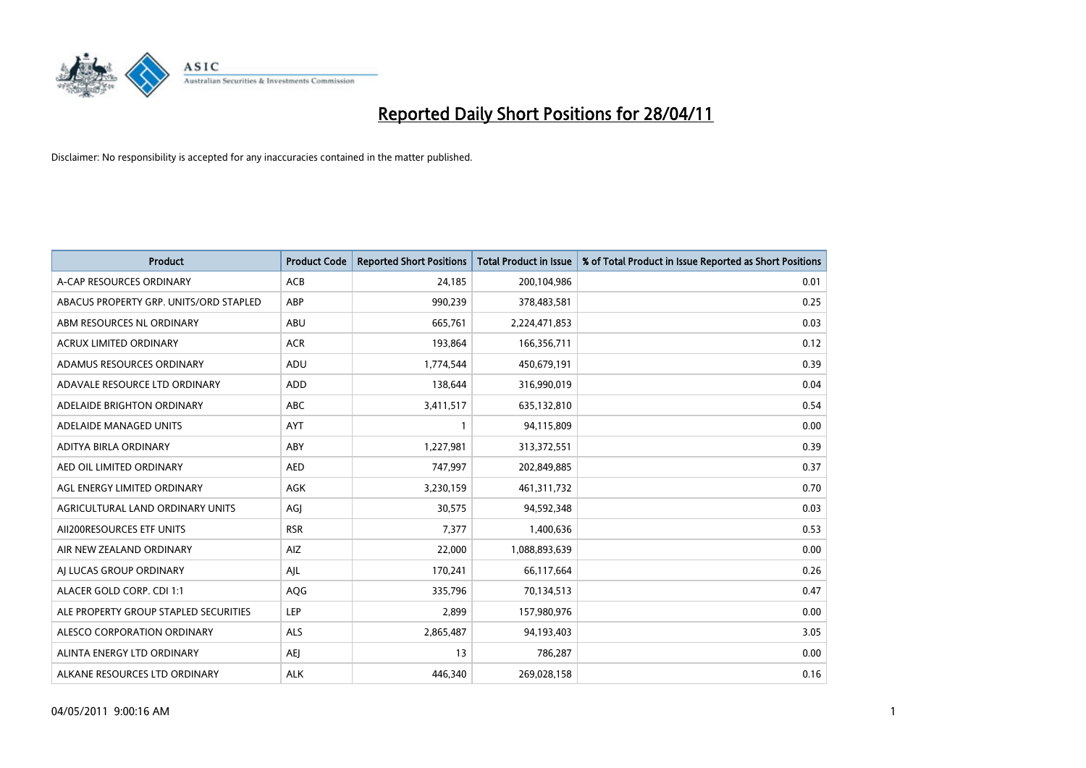

| <b>Product</b>                         | <b>Product Code</b> | <b>Reported Short Positions</b> | Total Product in Issue | % of Total Product in Issue Reported as Short Positions |
|----------------------------------------|---------------------|---------------------------------|------------------------|---------------------------------------------------------|
| A-CAP RESOURCES ORDINARY               | <b>ACB</b>          | 24,185                          | 200,104,986            | 0.01                                                    |
| ABACUS PROPERTY GRP. UNITS/ORD STAPLED | ABP                 | 990,239                         | 378,483,581            | 0.25                                                    |
| ABM RESOURCES NL ORDINARY              | ABU                 | 665,761                         | 2,224,471,853          | 0.03                                                    |
| ACRUX LIMITED ORDINARY                 | <b>ACR</b>          | 193,864                         | 166,356,711            | 0.12                                                    |
| ADAMUS RESOURCES ORDINARY              | ADU                 | 1,774,544                       | 450,679,191            | 0.39                                                    |
| ADAVALE RESOURCE LTD ORDINARY          | ADD                 | 138,644                         | 316,990,019            | 0.04                                                    |
| ADELAIDE BRIGHTON ORDINARY             | <b>ABC</b>          | 3,411,517                       | 635,132,810            | 0.54                                                    |
| ADELAIDE MANAGED UNITS                 | <b>AYT</b>          |                                 | 94,115,809             | 0.00                                                    |
| ADITYA BIRLA ORDINARY                  | ABY                 | 1,227,981                       | 313,372,551            | 0.39                                                    |
| AED OIL LIMITED ORDINARY               | <b>AED</b>          | 747,997                         | 202,849,885            | 0.37                                                    |
| AGL ENERGY LIMITED ORDINARY            | <b>AGK</b>          | 3,230,159                       | 461,311,732            | 0.70                                                    |
| AGRICULTURAL LAND ORDINARY UNITS       | AGJ                 | 30,575                          | 94,592,348             | 0.03                                                    |
| AII200RESOURCES ETF UNITS              | <b>RSR</b>          | 7,377                           | 1,400,636              | 0.53                                                    |
| AIR NEW ZEALAND ORDINARY               | AIZ                 | 22,000                          | 1,088,893,639          | 0.00                                                    |
| AI LUCAS GROUP ORDINARY                | AJL                 | 170,241                         | 66,117,664             | 0.26                                                    |
| ALACER GOLD CORP. CDI 1:1              | AQG                 | 335,796                         | 70,134,513             | 0.47                                                    |
| ALE PROPERTY GROUP STAPLED SECURITIES  | <b>LEP</b>          | 2,899                           | 157,980,976            | 0.00                                                    |
| ALESCO CORPORATION ORDINARY            | <b>ALS</b>          | 2,865,487                       | 94,193,403             | 3.05                                                    |
| ALINTA ENERGY LTD ORDINARY             | <b>AEI</b>          | 13                              | 786,287                | 0.00                                                    |
| ALKANE RESOURCES LTD ORDINARY          | <b>ALK</b>          | 446.340                         | 269,028,158            | 0.16                                                    |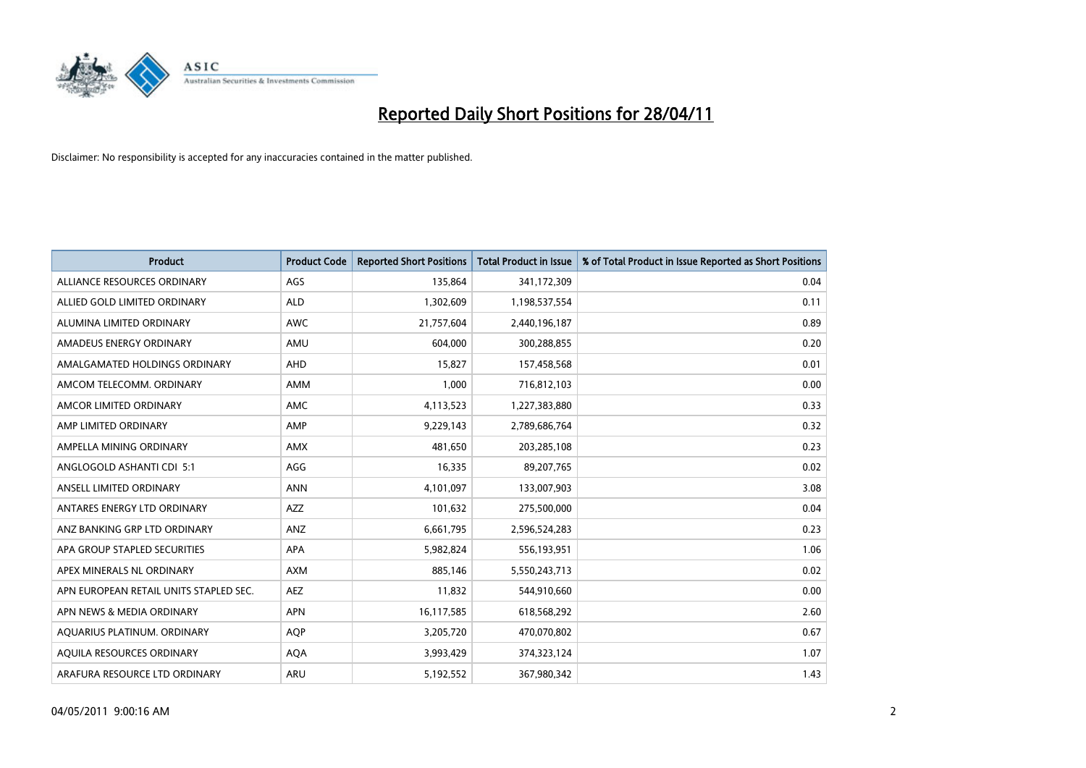

| <b>Product</b>                         | <b>Product Code</b> | <b>Reported Short Positions</b> | <b>Total Product in Issue</b> | % of Total Product in Issue Reported as Short Positions |
|----------------------------------------|---------------------|---------------------------------|-------------------------------|---------------------------------------------------------|
| ALLIANCE RESOURCES ORDINARY            | AGS                 | 135,864                         | 341,172,309                   | 0.04                                                    |
| ALLIED GOLD LIMITED ORDINARY           | <b>ALD</b>          | 1,302,609                       | 1,198,537,554                 | 0.11                                                    |
| ALUMINA LIMITED ORDINARY               | <b>AWC</b>          | 21,757,604                      | 2,440,196,187                 | 0.89                                                    |
| AMADEUS ENERGY ORDINARY                | AMU                 | 604,000                         | 300,288,855                   | 0.20                                                    |
| AMALGAMATED HOLDINGS ORDINARY          | AHD                 | 15,827                          | 157,458,568                   | 0.01                                                    |
| AMCOM TELECOMM, ORDINARY               | <b>AMM</b>          | 1,000                           | 716,812,103                   | 0.00                                                    |
| AMCOR LIMITED ORDINARY                 | AMC                 | 4,113,523                       | 1,227,383,880                 | 0.33                                                    |
| AMP LIMITED ORDINARY                   | AMP                 | 9,229,143                       | 2,789,686,764                 | 0.32                                                    |
| AMPELLA MINING ORDINARY                | <b>AMX</b>          | 481,650                         | 203,285,108                   | 0.23                                                    |
| ANGLOGOLD ASHANTI CDI 5:1              | AGG                 | 16,335                          | 89,207,765                    | 0.02                                                    |
| ANSELL LIMITED ORDINARY                | <b>ANN</b>          | 4,101,097                       | 133,007,903                   | 3.08                                                    |
| ANTARES ENERGY LTD ORDINARY            | <b>AZZ</b>          | 101,632                         | 275,500,000                   | 0.04                                                    |
| ANZ BANKING GRP LTD ORDINARY           | <b>ANZ</b>          | 6,661,795                       | 2,596,524,283                 | 0.23                                                    |
| APA GROUP STAPLED SECURITIES           | <b>APA</b>          | 5,982,824                       | 556,193,951                   | 1.06                                                    |
| APEX MINERALS NL ORDINARY              | <b>AXM</b>          | 885,146                         | 5,550,243,713                 | 0.02                                                    |
| APN EUROPEAN RETAIL UNITS STAPLED SEC. | <b>AEZ</b>          | 11,832                          | 544,910,660                   | 0.00                                                    |
| APN NEWS & MEDIA ORDINARY              | <b>APN</b>          | 16,117,585                      | 618,568,292                   | 2.60                                                    |
| AQUARIUS PLATINUM. ORDINARY            | <b>AQP</b>          | 3,205,720                       | 470,070,802                   | 0.67                                                    |
| AOUILA RESOURCES ORDINARY              | <b>AQA</b>          | 3,993,429                       | 374,323,124                   | 1.07                                                    |
| ARAFURA RESOURCE LTD ORDINARY          | <b>ARU</b>          | 5,192,552                       | 367,980,342                   | 1.43                                                    |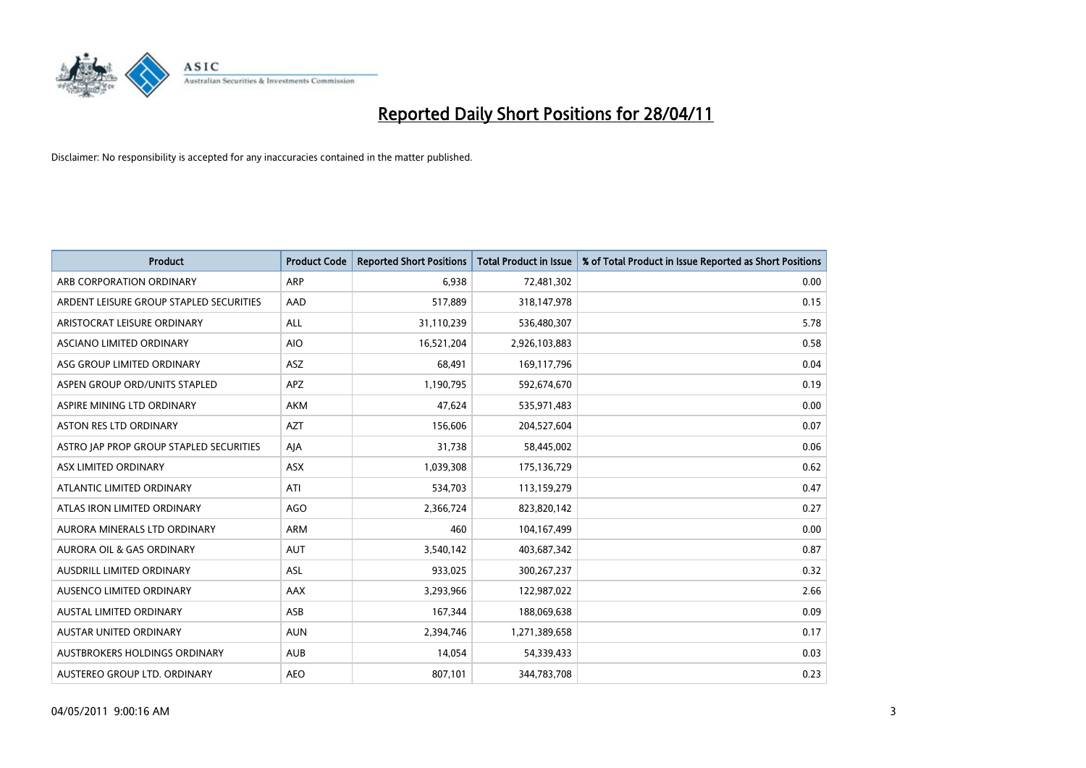

| <b>Product</b>                          | <b>Product Code</b> | <b>Reported Short Positions</b> | <b>Total Product in Issue</b> | % of Total Product in Issue Reported as Short Positions |
|-----------------------------------------|---------------------|---------------------------------|-------------------------------|---------------------------------------------------------|
| ARB CORPORATION ORDINARY                | <b>ARP</b>          | 6,938                           | 72,481,302                    | 0.00                                                    |
| ARDENT LEISURE GROUP STAPLED SECURITIES | AAD                 | 517,889                         | 318,147,978                   | 0.15                                                    |
| ARISTOCRAT LEISURE ORDINARY             | <b>ALL</b>          | 31,110,239                      | 536,480,307                   | 5.78                                                    |
| ASCIANO LIMITED ORDINARY                | <b>AIO</b>          | 16,521,204                      | 2,926,103,883                 | 0.58                                                    |
| ASG GROUP LIMITED ORDINARY              | ASZ                 | 68,491                          | 169,117,796                   | 0.04                                                    |
| ASPEN GROUP ORD/UNITS STAPLED           | <b>APZ</b>          | 1,190,795                       | 592,674,670                   | 0.19                                                    |
| ASPIRE MINING LTD ORDINARY              | <b>AKM</b>          | 47,624                          | 535,971,483                   | 0.00                                                    |
| ASTON RES LTD ORDINARY                  | <b>AZT</b>          | 156,606                         | 204,527,604                   | 0.07                                                    |
| ASTRO JAP PROP GROUP STAPLED SECURITIES | AJA                 | 31,738                          | 58,445,002                    | 0.06                                                    |
| ASX LIMITED ORDINARY                    | ASX                 | 1,039,308                       | 175,136,729                   | 0.62                                                    |
| ATLANTIC LIMITED ORDINARY               | ATI                 | 534,703                         | 113,159,279                   | 0.47                                                    |
| ATLAS IRON LIMITED ORDINARY             | <b>AGO</b>          | 2,366,724                       | 823,820,142                   | 0.27                                                    |
| AURORA MINERALS LTD ORDINARY            | <b>ARM</b>          | 460                             | 104,167,499                   | 0.00                                                    |
| AURORA OIL & GAS ORDINARY               | <b>AUT</b>          | 3,540,142                       | 403,687,342                   | 0.87                                                    |
| <b>AUSDRILL LIMITED ORDINARY</b>        | <b>ASL</b>          | 933,025                         | 300,267,237                   | 0.32                                                    |
| AUSENCO LIMITED ORDINARY                | <b>AAX</b>          | 3,293,966                       | 122,987,022                   | 2.66                                                    |
| AUSTAL LIMITED ORDINARY                 | ASB                 | 167,344                         | 188,069,638                   | 0.09                                                    |
| AUSTAR UNITED ORDINARY                  | <b>AUN</b>          | 2,394,746                       | 1,271,389,658                 | 0.17                                                    |
| <b>AUSTBROKERS HOLDINGS ORDINARY</b>    | <b>AUB</b>          | 14,054                          | 54,339,433                    | 0.03                                                    |
| AUSTEREO GROUP LTD. ORDINARY            | <b>AEO</b>          | 807,101                         | 344,783,708                   | 0.23                                                    |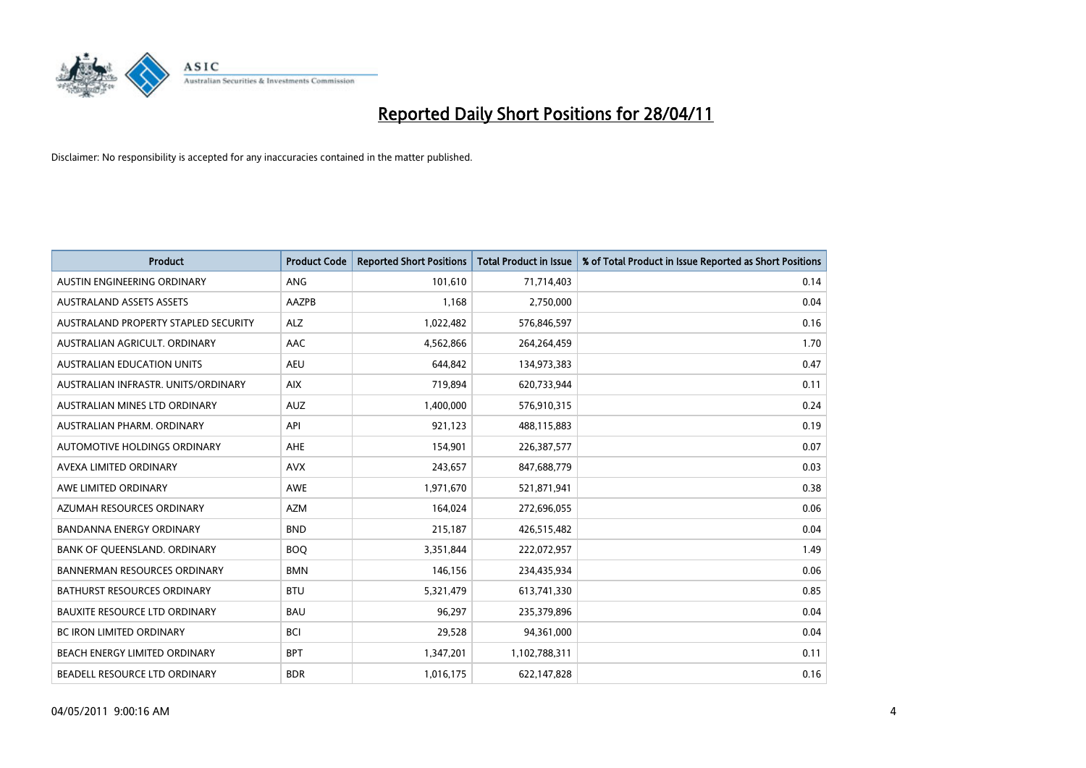

| <b>Product</b>                       | <b>Product Code</b> | <b>Reported Short Positions</b> | Total Product in Issue | % of Total Product in Issue Reported as Short Positions |
|--------------------------------------|---------------------|---------------------------------|------------------------|---------------------------------------------------------|
| <b>AUSTIN ENGINEERING ORDINARY</b>   | <b>ANG</b>          | 101,610                         | 71,714,403             | 0.14                                                    |
| <b>AUSTRALAND ASSETS ASSETS</b>      | <b>AAZPB</b>        | 1.168                           | 2,750,000              | 0.04                                                    |
| AUSTRALAND PROPERTY STAPLED SECURITY | <b>ALZ</b>          | 1,022,482                       | 576,846,597            | 0.16                                                    |
| AUSTRALIAN AGRICULT. ORDINARY        | AAC                 | 4,562,866                       | 264,264,459            | 1.70                                                    |
| <b>AUSTRALIAN EDUCATION UNITS</b>    | <b>AEU</b>          | 644.842                         | 134,973,383            | 0.47                                                    |
| AUSTRALIAN INFRASTR, UNITS/ORDINARY  | <b>AIX</b>          | 719,894                         | 620,733,944            | 0.11                                                    |
| AUSTRALIAN MINES LTD ORDINARY        | <b>AUZ</b>          | 1,400,000                       | 576,910,315            | 0.24                                                    |
| AUSTRALIAN PHARM, ORDINARY           | API                 | 921,123                         | 488,115,883            | 0.19                                                    |
| AUTOMOTIVE HOLDINGS ORDINARY         | <b>AHE</b>          | 154,901                         | 226,387,577            | 0.07                                                    |
| AVEXA LIMITED ORDINARY               | <b>AVX</b>          | 243,657                         | 847,688,779            | 0.03                                                    |
| AWE LIMITED ORDINARY                 | <b>AWE</b>          | 1,971,670                       | 521,871,941            | 0.38                                                    |
| AZUMAH RESOURCES ORDINARY            | <b>AZM</b>          | 164,024                         | 272,696,055            | 0.06                                                    |
| <b>BANDANNA ENERGY ORDINARY</b>      | <b>BND</b>          | 215,187                         | 426,515,482            | 0.04                                                    |
| BANK OF QUEENSLAND. ORDINARY         | <b>BOO</b>          | 3,351,844                       | 222,072,957            | 1.49                                                    |
| <b>BANNERMAN RESOURCES ORDINARY</b>  | <b>BMN</b>          | 146,156                         | 234,435,934            | 0.06                                                    |
| <b>BATHURST RESOURCES ORDINARY</b>   | <b>BTU</b>          | 5,321,479                       | 613,741,330            | 0.85                                                    |
| <b>BAUXITE RESOURCE LTD ORDINARY</b> | <b>BAU</b>          | 96,297                          | 235,379,896            | 0.04                                                    |
| <b>BC IRON LIMITED ORDINARY</b>      | <b>BCI</b>          | 29,528                          | 94,361,000             | 0.04                                                    |
| <b>BEACH ENERGY LIMITED ORDINARY</b> | <b>BPT</b>          | 1,347,201                       | 1,102,788,311          | 0.11                                                    |
| BEADELL RESOURCE LTD ORDINARY        | <b>BDR</b>          | 1,016,175                       | 622,147,828            | 0.16                                                    |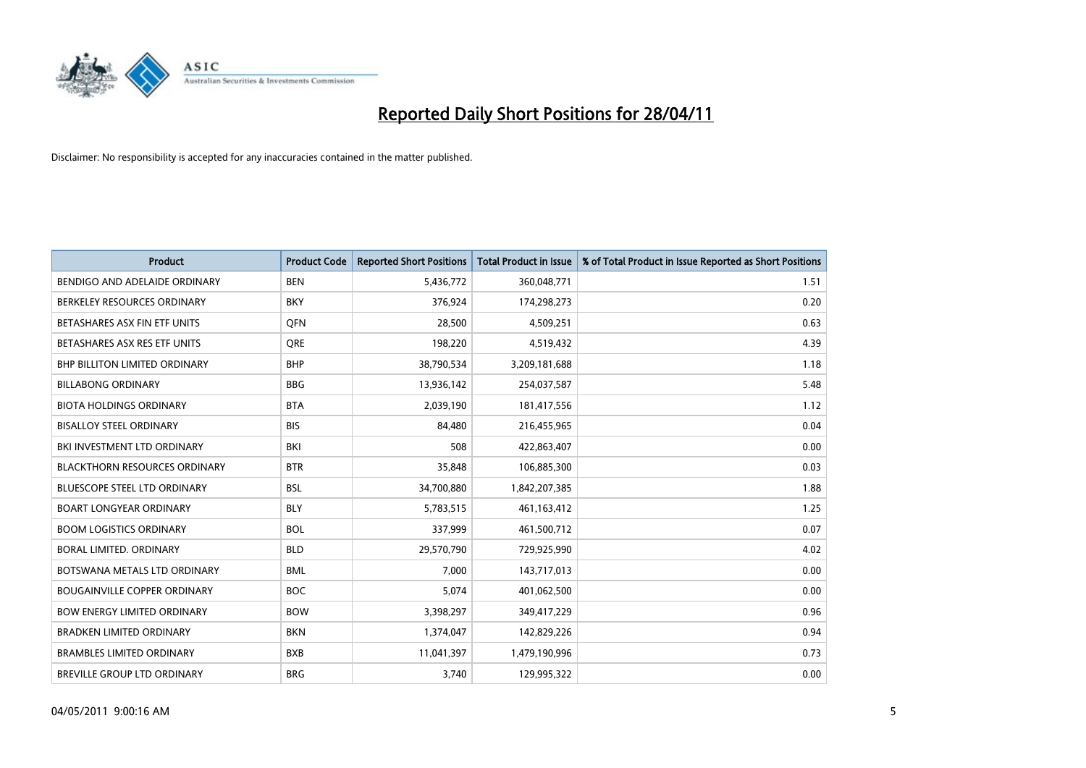

| <b>Product</b>                       | <b>Product Code</b> | <b>Reported Short Positions</b> | <b>Total Product in Issue</b> | % of Total Product in Issue Reported as Short Positions |
|--------------------------------------|---------------------|---------------------------------|-------------------------------|---------------------------------------------------------|
| BENDIGO AND ADELAIDE ORDINARY        | <b>BEN</b>          | 5,436,772                       | 360,048,771                   | 1.51                                                    |
| BERKELEY RESOURCES ORDINARY          | <b>BKY</b>          | 376,924                         | 174,298,273                   | 0.20                                                    |
| BETASHARES ASX FIN ETF UNITS         | <b>OFN</b>          | 28,500                          | 4,509,251                     | 0.63                                                    |
| BETASHARES ASX RES ETF UNITS         | <b>ORE</b>          | 198,220                         | 4,519,432                     | 4.39                                                    |
| BHP BILLITON LIMITED ORDINARY        | <b>BHP</b>          | 38,790,534                      | 3,209,181,688                 | 1.18                                                    |
| <b>BILLABONG ORDINARY</b>            | <b>BBG</b>          | 13,936,142                      | 254,037,587                   | 5.48                                                    |
| <b>BIOTA HOLDINGS ORDINARY</b>       | <b>BTA</b>          | 2,039,190                       | 181,417,556                   | 1.12                                                    |
| <b>BISALLOY STEEL ORDINARY</b>       | <b>BIS</b>          | 84,480                          | 216,455,965                   | 0.04                                                    |
| BKI INVESTMENT LTD ORDINARY          | <b>BKI</b>          | 508                             | 422,863,407                   | 0.00                                                    |
| <b>BLACKTHORN RESOURCES ORDINARY</b> | <b>BTR</b>          | 35,848                          | 106,885,300                   | 0.03                                                    |
| <b>BLUESCOPE STEEL LTD ORDINARY</b>  | <b>BSL</b>          | 34,700,880                      | 1,842,207,385                 | 1.88                                                    |
| <b>BOART LONGYEAR ORDINARY</b>       | <b>BLY</b>          | 5,783,515                       | 461,163,412                   | 1.25                                                    |
| <b>BOOM LOGISTICS ORDINARY</b>       | <b>BOL</b>          | 337,999                         | 461,500,712                   | 0.07                                                    |
| <b>BORAL LIMITED, ORDINARY</b>       | <b>BLD</b>          | 29,570,790                      | 729,925,990                   | 4.02                                                    |
| BOTSWANA METALS LTD ORDINARY         | <b>BML</b>          | 7,000                           | 143,717,013                   | 0.00                                                    |
| <b>BOUGAINVILLE COPPER ORDINARY</b>  | <b>BOC</b>          | 5.074                           | 401,062,500                   | 0.00                                                    |
| <b>BOW ENERGY LIMITED ORDINARY</b>   | <b>BOW</b>          | 3,398,297                       | 349,417,229                   | 0.96                                                    |
| <b>BRADKEN LIMITED ORDINARY</b>      | <b>BKN</b>          | 1,374,047                       | 142,829,226                   | 0.94                                                    |
| <b>BRAMBLES LIMITED ORDINARY</b>     | <b>BXB</b>          | 11,041,397                      | 1,479,190,996                 | 0.73                                                    |
| <b>BREVILLE GROUP LTD ORDINARY</b>   | <b>BRG</b>          | 3.740                           | 129,995,322                   | 0.00                                                    |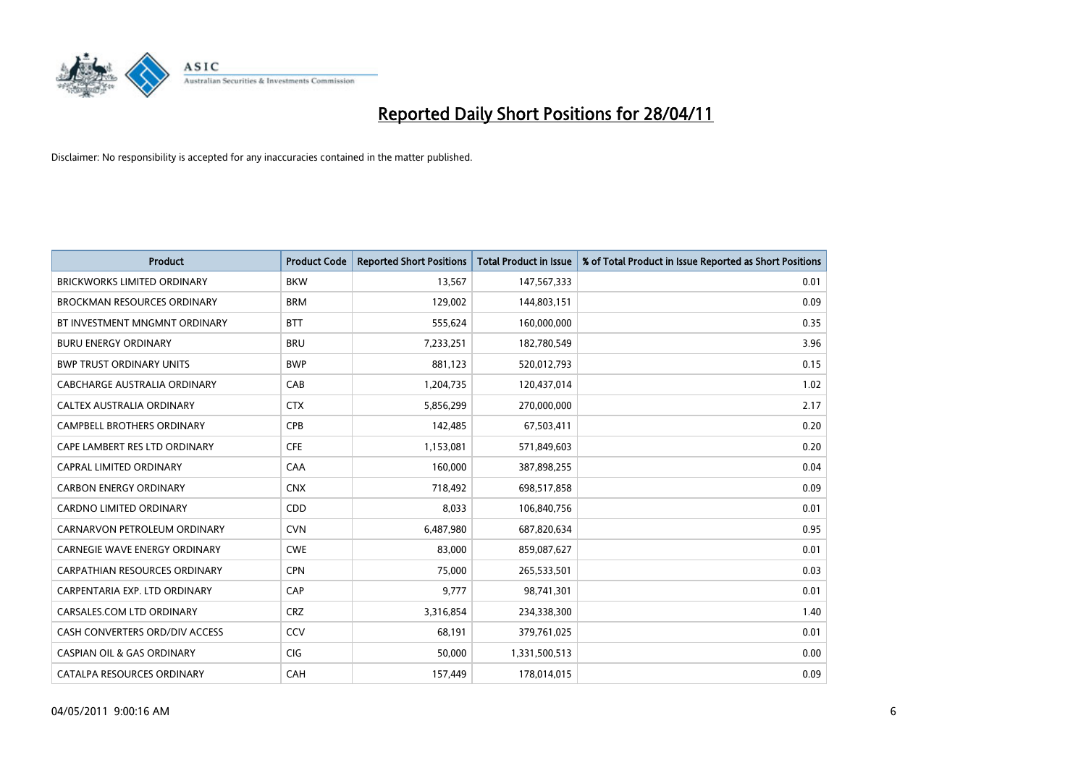

| <b>Product</b>                        | <b>Product Code</b> | <b>Reported Short Positions</b> | <b>Total Product in Issue</b> | % of Total Product in Issue Reported as Short Positions |
|---------------------------------------|---------------------|---------------------------------|-------------------------------|---------------------------------------------------------|
| <b>BRICKWORKS LIMITED ORDINARY</b>    | <b>BKW</b>          | 13,567                          | 147,567,333                   | 0.01                                                    |
| <b>BROCKMAN RESOURCES ORDINARY</b>    | <b>BRM</b>          | 129,002                         | 144,803,151                   | 0.09                                                    |
| BT INVESTMENT MNGMNT ORDINARY         | <b>BTT</b>          | 555,624                         | 160,000,000                   | 0.35                                                    |
| <b>BURU ENERGY ORDINARY</b>           | <b>BRU</b>          | 7,233,251                       | 182,780,549                   | 3.96                                                    |
| <b>BWP TRUST ORDINARY UNITS</b>       | <b>BWP</b>          | 881.123                         | 520,012,793                   | 0.15                                                    |
| CABCHARGE AUSTRALIA ORDINARY          | CAB                 | 1,204,735                       | 120,437,014                   | 1.02                                                    |
| CALTEX AUSTRALIA ORDINARY             | <b>CTX</b>          | 5,856,299                       | 270,000,000                   | 2.17                                                    |
| <b>CAMPBELL BROTHERS ORDINARY</b>     | CPB                 | 142,485                         | 67,503,411                    | 0.20                                                    |
| CAPE LAMBERT RES LTD ORDINARY         | <b>CFE</b>          | 1,153,081                       | 571,849,603                   | 0.20                                                    |
| CAPRAL LIMITED ORDINARY               | CAA                 | 160.000                         | 387,898,255                   | 0.04                                                    |
| <b>CARBON ENERGY ORDINARY</b>         | <b>CNX</b>          | 718,492                         | 698,517,858                   | 0.09                                                    |
| <b>CARDNO LIMITED ORDINARY</b>        | CDD                 | 8,033                           | 106,840,756                   | 0.01                                                    |
| CARNARVON PETROLEUM ORDINARY          | <b>CVN</b>          | 6,487,980                       | 687,820,634                   | 0.95                                                    |
| <b>CARNEGIE WAVE ENERGY ORDINARY</b>  | <b>CWE</b>          | 83.000                          | 859,087,627                   | 0.01                                                    |
| <b>CARPATHIAN RESOURCES ORDINARY</b>  | <b>CPN</b>          | 75,000                          | 265,533,501                   | 0.03                                                    |
| CARPENTARIA EXP. LTD ORDINARY         | CAP                 | 9,777                           | 98,741,301                    | 0.01                                                    |
| CARSALES.COM LTD ORDINARY             | <b>CRZ</b>          | 3,316,854                       | 234,338,300                   | 1.40                                                    |
| CASH CONVERTERS ORD/DIV ACCESS        | CCV                 | 68,191                          | 379,761,025                   | 0.01                                                    |
| <b>CASPIAN OIL &amp; GAS ORDINARY</b> | <b>CIG</b>          | 50,000                          | 1,331,500,513                 | 0.00                                                    |
| CATALPA RESOURCES ORDINARY            | CAH                 | 157,449                         | 178,014,015                   | 0.09                                                    |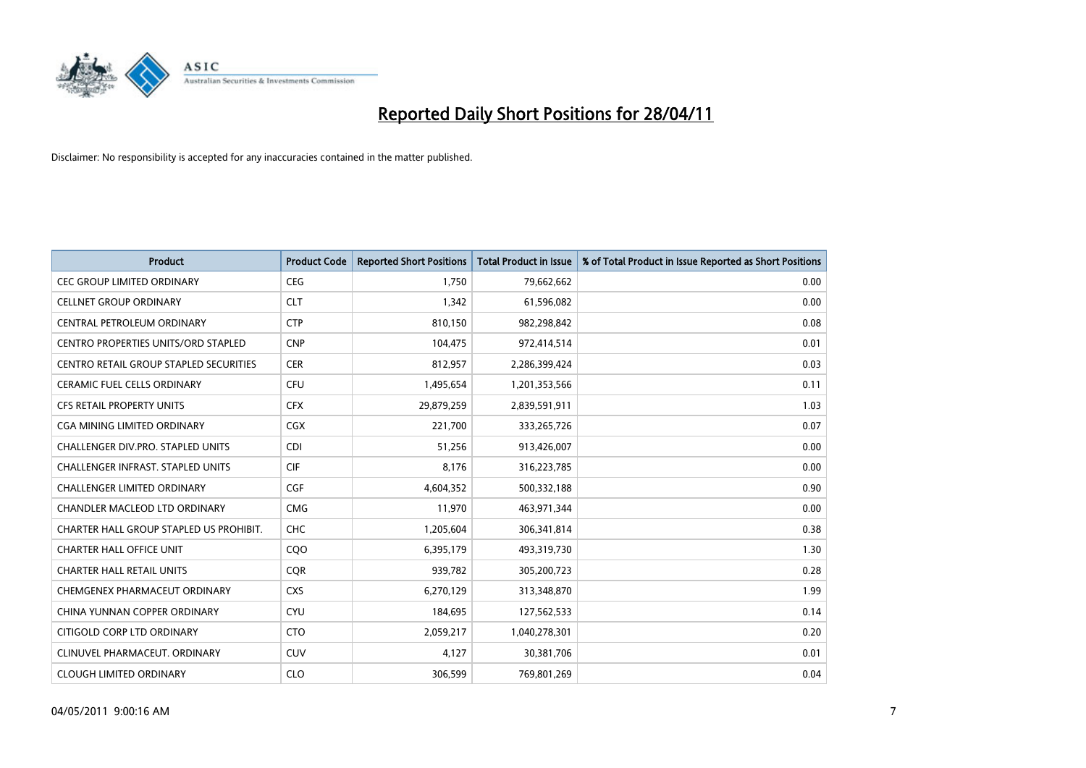

| <b>Product</b>                                | <b>Product Code</b> | <b>Reported Short Positions</b> | Total Product in Issue | % of Total Product in Issue Reported as Short Positions |
|-----------------------------------------------|---------------------|---------------------------------|------------------------|---------------------------------------------------------|
| <b>CEC GROUP LIMITED ORDINARY</b>             | <b>CEG</b>          | 1,750                           | 79,662,662             | 0.00                                                    |
| <b>CELLNET GROUP ORDINARY</b>                 | <b>CLT</b>          | 1,342                           | 61,596,082             | 0.00                                                    |
| CENTRAL PETROLEUM ORDINARY                    | <b>CTP</b>          | 810,150                         | 982,298,842            | 0.08                                                    |
| CENTRO PROPERTIES UNITS/ORD STAPLED           | <b>CNP</b>          | 104,475                         | 972,414,514            | 0.01                                                    |
| <b>CENTRO RETAIL GROUP STAPLED SECURITIES</b> | <b>CER</b>          | 812,957                         | 2,286,399,424          | 0.03                                                    |
| <b>CERAMIC FUEL CELLS ORDINARY</b>            | <b>CFU</b>          | 1,495,654                       | 1,201,353,566          | 0.11                                                    |
| <b>CFS RETAIL PROPERTY UNITS</b>              | <b>CFX</b>          | 29,879,259                      | 2,839,591,911          | 1.03                                                    |
| CGA MINING LIMITED ORDINARY                   | <b>CGX</b>          | 221,700                         | 333,265,726            | 0.07                                                    |
| CHALLENGER DIV.PRO. STAPLED UNITS             | <b>CDI</b>          | 51,256                          | 913,426,007            | 0.00                                                    |
| CHALLENGER INFRAST. STAPLED UNITS             | <b>CIF</b>          | 8,176                           | 316,223,785            | 0.00                                                    |
| CHALLENGER LIMITED ORDINARY                   | <b>CGF</b>          | 4,604,352                       | 500,332,188            | 0.90                                                    |
| CHANDLER MACLEOD LTD ORDINARY                 | <b>CMG</b>          | 11,970                          | 463,971,344            | 0.00                                                    |
| CHARTER HALL GROUP STAPLED US PROHIBIT.       | <b>CHC</b>          | 1,205,604                       | 306,341,814            | 0.38                                                    |
| <b>CHARTER HALL OFFICE UNIT</b>               | COO                 | 6,395,179                       | 493,319,730            | 1.30                                                    |
| <b>CHARTER HALL RETAIL UNITS</b>              | CQR                 | 939,782                         | 305,200,723            | 0.28                                                    |
| CHEMGENEX PHARMACEUT ORDINARY                 | <b>CXS</b>          | 6,270,129                       | 313,348,870            | 1.99                                                    |
| CHINA YUNNAN COPPER ORDINARY                  | <b>CYU</b>          | 184,695                         | 127,562,533            | 0.14                                                    |
| CITIGOLD CORP LTD ORDINARY                    | <b>CTO</b>          | 2,059,217                       | 1,040,278,301          | 0.20                                                    |
| CLINUVEL PHARMACEUT, ORDINARY                 | <b>CUV</b>          | 4,127                           | 30,381,706             | 0.01                                                    |
| <b>CLOUGH LIMITED ORDINARY</b>                | <b>CLO</b>          | 306,599                         | 769,801,269            | 0.04                                                    |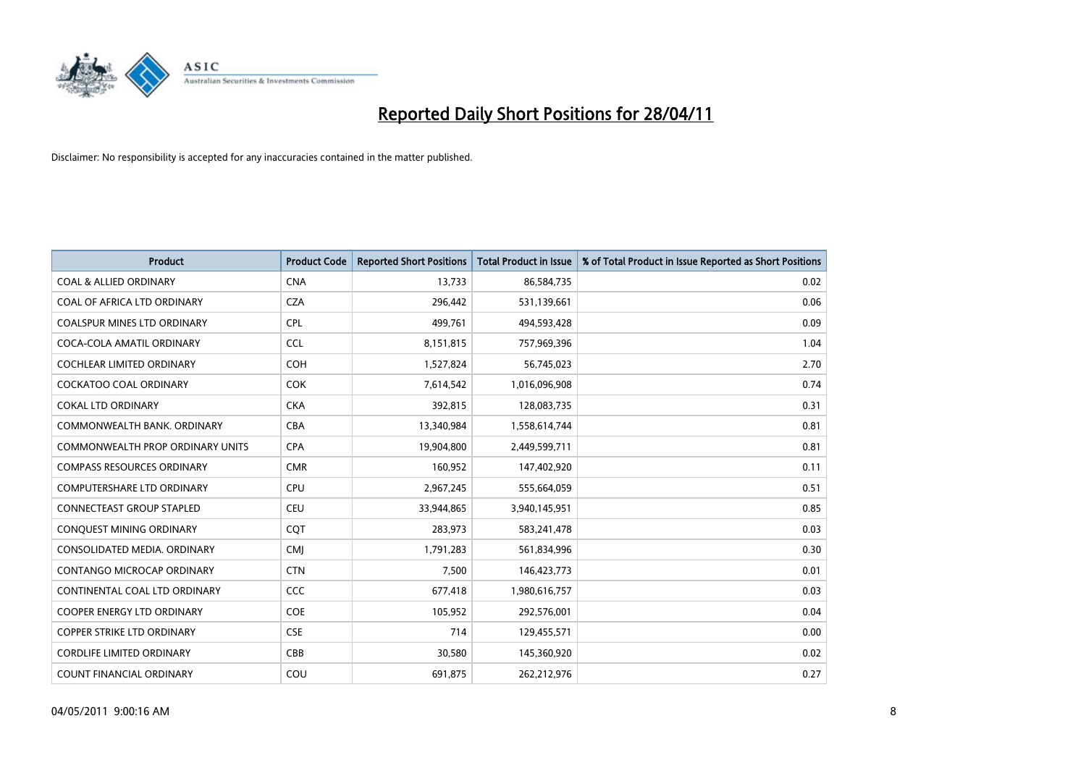

| <b>Product</b>                     | <b>Product Code</b> | <b>Reported Short Positions</b> | <b>Total Product in Issue</b> | % of Total Product in Issue Reported as Short Positions |
|------------------------------------|---------------------|---------------------------------|-------------------------------|---------------------------------------------------------|
| <b>COAL &amp; ALLIED ORDINARY</b>  | <b>CNA</b>          | 13.733                          | 86,584,735                    | 0.02                                                    |
| COAL OF AFRICA LTD ORDINARY        | <b>CZA</b>          | 296,442                         | 531,139,661                   | 0.06                                                    |
| <b>COALSPUR MINES LTD ORDINARY</b> | <b>CPL</b>          | 499,761                         | 494,593,428                   | 0.09                                                    |
| COCA-COLA AMATIL ORDINARY          | <b>CCL</b>          | 8,151,815                       | 757,969,396                   | 1.04                                                    |
| <b>COCHLEAR LIMITED ORDINARY</b>   | <b>COH</b>          | 1,527,824                       | 56,745,023                    | 2.70                                                    |
| <b>COCKATOO COAL ORDINARY</b>      | <b>COK</b>          | 7,614,542                       | 1,016,096,908                 | 0.74                                                    |
| <b>COKAL LTD ORDINARY</b>          | <b>CKA</b>          | 392,815                         | 128,083,735                   | 0.31                                                    |
| COMMONWEALTH BANK, ORDINARY        | <b>CBA</b>          | 13,340,984                      | 1,558,614,744                 | 0.81                                                    |
| COMMONWEALTH PROP ORDINARY UNITS   | <b>CPA</b>          | 19,904,800                      | 2,449,599,711                 | 0.81                                                    |
| <b>COMPASS RESOURCES ORDINARY</b>  | <b>CMR</b>          | 160,952                         | 147,402,920                   | 0.11                                                    |
| <b>COMPUTERSHARE LTD ORDINARY</b>  | <b>CPU</b>          | 2,967,245                       | 555,664,059                   | 0.51                                                    |
| <b>CONNECTEAST GROUP STAPLED</b>   | <b>CEU</b>          | 33,944,865                      | 3,940,145,951                 | 0.85                                                    |
| CONQUEST MINING ORDINARY           | CQT                 | 283,973                         | 583,241,478                   | 0.03                                                    |
| CONSOLIDATED MEDIA, ORDINARY       | <b>CMJ</b>          | 1,791,283                       | 561,834,996                   | 0.30                                                    |
| <b>CONTANGO MICROCAP ORDINARY</b>  | <b>CTN</b>          | 7,500                           | 146,423,773                   | 0.01                                                    |
| CONTINENTAL COAL LTD ORDINARY      | <b>CCC</b>          | 677,418                         | 1,980,616,757                 | 0.03                                                    |
| COOPER ENERGY LTD ORDINARY         | <b>COE</b>          | 105,952                         | 292,576,001                   | 0.04                                                    |
| <b>COPPER STRIKE LTD ORDINARY</b>  | <b>CSE</b>          | 714                             | 129,455,571                   | 0.00                                                    |
| <b>CORDLIFE LIMITED ORDINARY</b>   | CBB                 | 30,580                          | 145,360,920                   | 0.02                                                    |
| COUNT FINANCIAL ORDINARY           | COU                 | 691,875                         | 262,212,976                   | 0.27                                                    |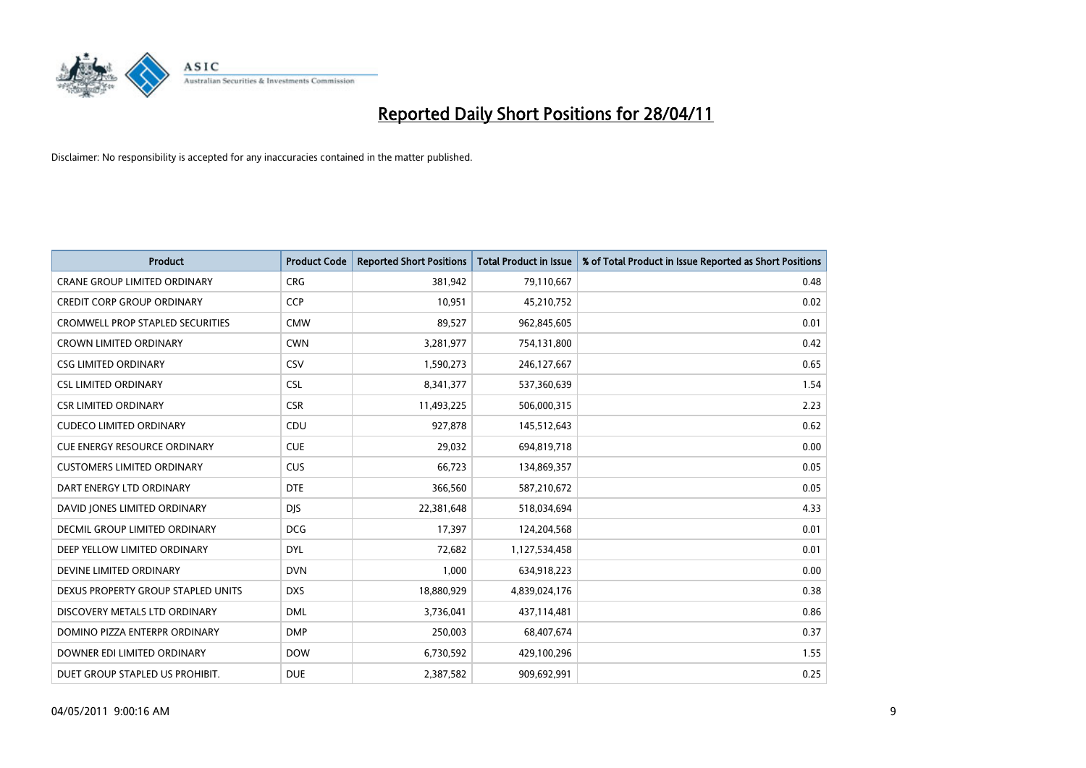

| <b>Product</b>                          | <b>Product Code</b> | <b>Reported Short Positions</b> | <b>Total Product in Issue</b> | % of Total Product in Issue Reported as Short Positions |
|-----------------------------------------|---------------------|---------------------------------|-------------------------------|---------------------------------------------------------|
| <b>CRANE GROUP LIMITED ORDINARY</b>     | <b>CRG</b>          | 381,942                         | 79,110,667                    | 0.48                                                    |
| <b>CREDIT CORP GROUP ORDINARY</b>       | <b>CCP</b>          | 10,951                          | 45,210,752                    | 0.02                                                    |
| <b>CROMWELL PROP STAPLED SECURITIES</b> | <b>CMW</b>          | 89,527                          | 962,845,605                   | 0.01                                                    |
| <b>CROWN LIMITED ORDINARY</b>           | <b>CWN</b>          | 3,281,977                       | 754,131,800                   | 0.42                                                    |
| <b>CSG LIMITED ORDINARY</b>             | CSV                 | 1,590,273                       | 246,127,667                   | 0.65                                                    |
| <b>CSL LIMITED ORDINARY</b>             | <b>CSL</b>          | 8,341,377                       | 537,360,639                   | 1.54                                                    |
| <b>CSR LIMITED ORDINARY</b>             | <b>CSR</b>          | 11,493,225                      | 506,000,315                   | 2.23                                                    |
| <b>CUDECO LIMITED ORDINARY</b>          | CDU                 | 927,878                         | 145,512,643                   | 0.62                                                    |
| <b>CUE ENERGY RESOURCE ORDINARY</b>     | <b>CUE</b>          | 29,032                          | 694,819,718                   | 0.00                                                    |
| <b>CUSTOMERS LIMITED ORDINARY</b>       | CUS                 | 66,723                          | 134,869,357                   | 0.05                                                    |
| DART ENERGY LTD ORDINARY                | <b>DTE</b>          | 366,560                         | 587,210,672                   | 0.05                                                    |
| DAVID JONES LIMITED ORDINARY            | <b>DJS</b>          | 22,381,648                      | 518,034,694                   | 4.33                                                    |
| DECMIL GROUP LIMITED ORDINARY           | <b>DCG</b>          | 17,397                          | 124,204,568                   | 0.01                                                    |
| DEEP YELLOW LIMITED ORDINARY            | <b>DYL</b>          | 72,682                          | 1,127,534,458                 | 0.01                                                    |
| DEVINE LIMITED ORDINARY                 | <b>DVN</b>          | 1,000                           | 634,918,223                   | 0.00                                                    |
| DEXUS PROPERTY GROUP STAPLED UNITS      | <b>DXS</b>          | 18,880,929                      | 4,839,024,176                 | 0.38                                                    |
| DISCOVERY METALS LTD ORDINARY           | <b>DML</b>          | 3,736,041                       | 437,114,481                   | 0.86                                                    |
| DOMINO PIZZA ENTERPR ORDINARY           | <b>DMP</b>          | 250,003                         | 68,407,674                    | 0.37                                                    |
| DOWNER EDI LIMITED ORDINARY             | <b>DOW</b>          | 6,730,592                       | 429,100,296                   | 1.55                                                    |
| DUET GROUP STAPLED US PROHIBIT.         | <b>DUE</b>          | 2,387,582                       | 909,692,991                   | 0.25                                                    |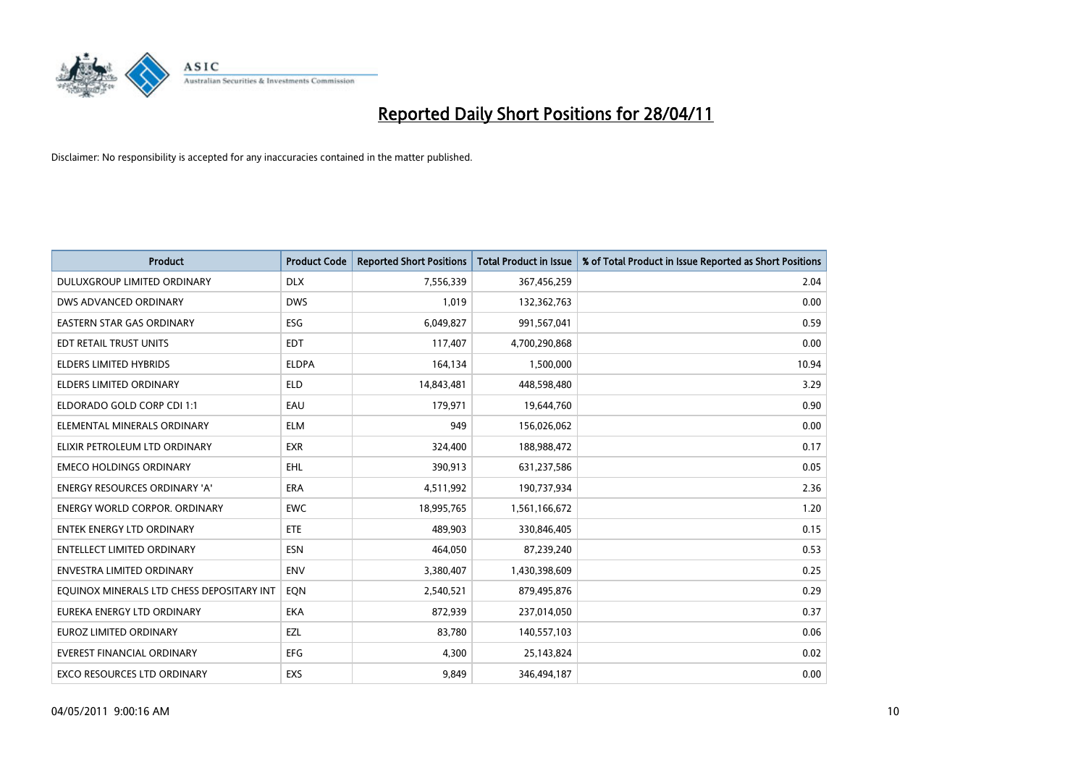

| <b>Product</b>                            | <b>Product Code</b> | <b>Reported Short Positions</b> | <b>Total Product in Issue</b> | % of Total Product in Issue Reported as Short Positions |
|-------------------------------------------|---------------------|---------------------------------|-------------------------------|---------------------------------------------------------|
| DULUXGROUP LIMITED ORDINARY               | <b>DLX</b>          | 7,556,339                       | 367,456,259                   | 2.04                                                    |
| DWS ADVANCED ORDINARY                     | <b>DWS</b>          | 1,019                           | 132,362,763                   | 0.00                                                    |
| <b>EASTERN STAR GAS ORDINARY</b>          | <b>ESG</b>          | 6,049,827                       | 991,567,041                   | 0.59                                                    |
| EDT RETAIL TRUST UNITS                    | <b>EDT</b>          | 117,407                         | 4,700,290,868                 | 0.00                                                    |
| <b>ELDERS LIMITED HYBRIDS</b>             | <b>ELDPA</b>        | 164,134                         | 1,500,000                     | 10.94                                                   |
| <b>ELDERS LIMITED ORDINARY</b>            | <b>ELD</b>          | 14,843,481                      | 448,598,480                   | 3.29                                                    |
| ELDORADO GOLD CORP CDI 1:1                | EAU                 | 179,971                         | 19,644,760                    | 0.90                                                    |
| ELEMENTAL MINERALS ORDINARY               | <b>ELM</b>          | 949                             | 156,026,062                   | 0.00                                                    |
| ELIXIR PETROLEUM LTD ORDINARY             | <b>EXR</b>          | 324,400                         | 188,988,472                   | 0.17                                                    |
| <b>EMECO HOLDINGS ORDINARY</b>            | <b>EHL</b>          | 390,913                         | 631,237,586                   | 0.05                                                    |
| ENERGY RESOURCES ORDINARY 'A'             | <b>ERA</b>          | 4,511,992                       | 190,737,934                   | 2.36                                                    |
| ENERGY WORLD CORPOR. ORDINARY             | <b>EWC</b>          | 18,995,765                      | 1,561,166,672                 | 1.20                                                    |
| <b>ENTEK ENERGY LTD ORDINARY</b>          | <b>ETE</b>          | 489,903                         | 330,846,405                   | 0.15                                                    |
| <b>ENTELLECT LIMITED ORDINARY</b>         | <b>ESN</b>          | 464,050                         | 87,239,240                    | 0.53                                                    |
| <b>ENVESTRA LIMITED ORDINARY</b>          | <b>ENV</b>          | 3,380,407                       | 1,430,398,609                 | 0.25                                                    |
| EQUINOX MINERALS LTD CHESS DEPOSITARY INT | EON                 | 2,540,521                       | 879,495,876                   | 0.29                                                    |
| EUREKA ENERGY LTD ORDINARY                | <b>EKA</b>          | 872,939                         | 237,014,050                   | 0.37                                                    |
| EUROZ LIMITED ORDINARY                    | EZL                 | 83,780                          | 140,557,103                   | 0.06                                                    |
| <b>EVEREST FINANCIAL ORDINARY</b>         | EFG                 | 4,300                           | 25,143,824                    | 0.02                                                    |
| EXCO RESOURCES LTD ORDINARY               | EXS                 | 9,849                           | 346,494,187                   | 0.00                                                    |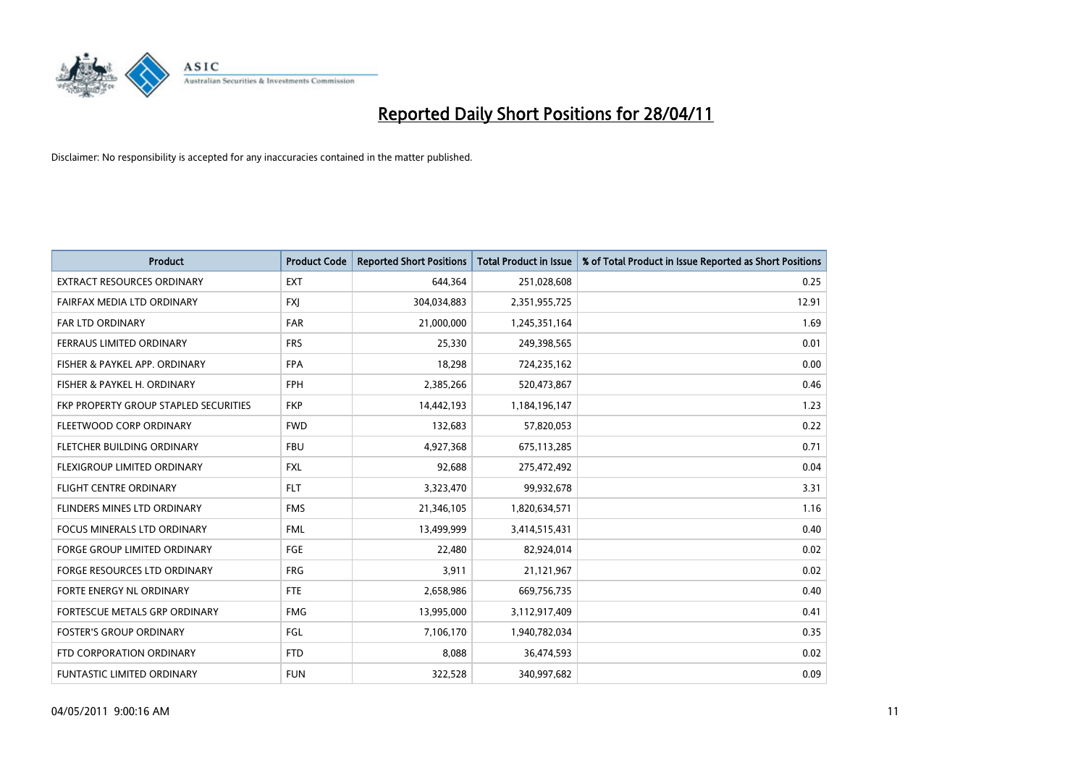

| <b>Product</b>                        | <b>Product Code</b> | <b>Reported Short Positions</b> | <b>Total Product in Issue</b> | % of Total Product in Issue Reported as Short Positions |
|---------------------------------------|---------------------|---------------------------------|-------------------------------|---------------------------------------------------------|
| <b>EXTRACT RESOURCES ORDINARY</b>     | <b>EXT</b>          | 644,364                         | 251,028,608                   | 0.25                                                    |
| FAIRFAX MEDIA LTD ORDINARY            | <b>FXI</b>          | 304,034,883                     | 2,351,955,725                 | 12.91                                                   |
| <b>FAR LTD ORDINARY</b>               | <b>FAR</b>          | 21,000,000                      | 1,245,351,164                 | 1.69                                                    |
| FERRAUS LIMITED ORDINARY              | <b>FRS</b>          | 25,330                          | 249,398,565                   | 0.01                                                    |
| FISHER & PAYKEL APP. ORDINARY         | <b>FPA</b>          | 18,298                          | 724,235,162                   | 0.00                                                    |
| FISHER & PAYKEL H. ORDINARY           | <b>FPH</b>          | 2,385,266                       | 520,473,867                   | 0.46                                                    |
| FKP PROPERTY GROUP STAPLED SECURITIES | <b>FKP</b>          | 14,442,193                      | 1,184,196,147                 | 1.23                                                    |
| FLEETWOOD CORP ORDINARY               | <b>FWD</b>          | 132,683                         | 57,820,053                    | 0.22                                                    |
| FLETCHER BUILDING ORDINARY            | <b>FBU</b>          | 4,927,368                       | 675,113,285                   | 0.71                                                    |
| FLEXIGROUP LIMITED ORDINARY           | <b>FXL</b>          | 92,688                          | 275,472,492                   | 0.04                                                    |
| <b>FLIGHT CENTRE ORDINARY</b>         | <b>FLT</b>          | 3,323,470                       | 99,932,678                    | 3.31                                                    |
| <b>FLINDERS MINES LTD ORDINARY</b>    | <b>FMS</b>          | 21,346,105                      | 1,820,634,571                 | 1.16                                                    |
| <b>FOCUS MINERALS LTD ORDINARY</b>    | <b>FML</b>          | 13,499,999                      | 3,414,515,431                 | 0.40                                                    |
| <b>FORGE GROUP LIMITED ORDINARY</b>   | <b>FGE</b>          | 22,480                          | 82,924,014                    | 0.02                                                    |
| FORGE RESOURCES LTD ORDINARY          | <b>FRG</b>          | 3,911                           | 21,121,967                    | 0.02                                                    |
| FORTE ENERGY NL ORDINARY              | <b>FTE</b>          | 2,658,986                       | 669,756,735                   | 0.40                                                    |
| FORTESCUE METALS GRP ORDINARY         | <b>FMG</b>          | 13,995,000                      | 3,112,917,409                 | 0.41                                                    |
| <b>FOSTER'S GROUP ORDINARY</b>        | FGL                 | 7,106,170                       | 1,940,782,034                 | 0.35                                                    |
| FTD CORPORATION ORDINARY              | <b>FTD</b>          | 8,088                           | 36,474,593                    | 0.02                                                    |
| <b>FUNTASTIC LIMITED ORDINARY</b>     | <b>FUN</b>          | 322,528                         | 340,997,682                   | 0.09                                                    |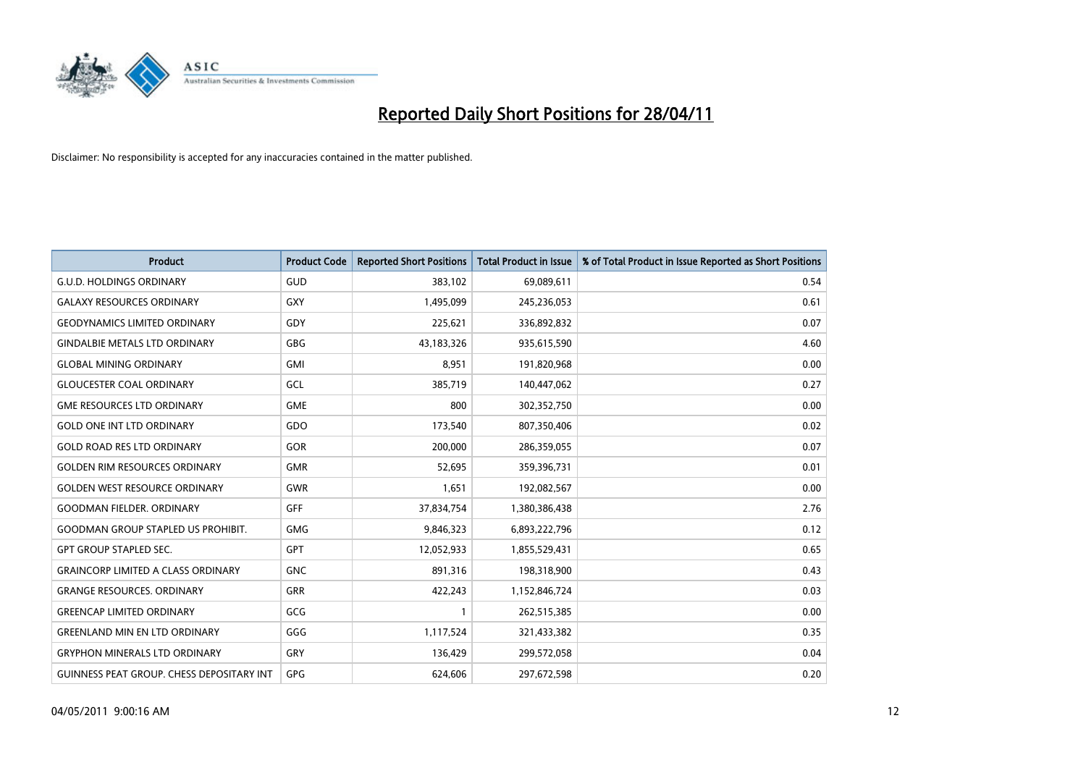

| <b>Product</b>                                   | <b>Product Code</b> | <b>Reported Short Positions</b> | <b>Total Product in Issue</b> | % of Total Product in Issue Reported as Short Positions |
|--------------------------------------------------|---------------------|---------------------------------|-------------------------------|---------------------------------------------------------|
| <b>G.U.D. HOLDINGS ORDINARY</b>                  | <b>GUD</b>          | 383,102                         | 69,089,611                    | 0.54                                                    |
| <b>GALAXY RESOURCES ORDINARY</b>                 | <b>GXY</b>          | 1,495,099                       | 245,236,053                   | 0.61                                                    |
| <b>GEODYNAMICS LIMITED ORDINARY</b>              | GDY                 | 225,621                         | 336,892,832                   | 0.07                                                    |
| <b>GINDALBIE METALS LTD ORDINARY</b>             | <b>GBG</b>          | 43,183,326                      | 935,615,590                   | 4.60                                                    |
| <b>GLOBAL MINING ORDINARY</b>                    | <b>GMI</b>          | 8,951                           | 191,820,968                   | 0.00                                                    |
| <b>GLOUCESTER COAL ORDINARY</b>                  | GCL                 | 385,719                         | 140,447,062                   | 0.27                                                    |
| <b>GME RESOURCES LTD ORDINARY</b>                | <b>GME</b>          | 800                             | 302,352,750                   | 0.00                                                    |
| <b>GOLD ONE INT LTD ORDINARY</b>                 | GDO                 | 173,540                         | 807,350,406                   | 0.02                                                    |
| <b>GOLD ROAD RES LTD ORDINARY</b>                | GOR                 | 200,000                         | 286,359,055                   | 0.07                                                    |
| <b>GOLDEN RIM RESOURCES ORDINARY</b>             | <b>GMR</b>          | 52,695                          | 359,396,731                   | 0.01                                                    |
| <b>GOLDEN WEST RESOURCE ORDINARY</b>             | <b>GWR</b>          | 1,651                           | 192,082,567                   | 0.00                                                    |
| <b>GOODMAN FIELDER, ORDINARY</b>                 | <b>GFF</b>          | 37,834,754                      | 1,380,386,438                 | 2.76                                                    |
| <b>GOODMAN GROUP STAPLED US PROHIBIT.</b>        | <b>GMG</b>          | 9,846,323                       | 6,893,222,796                 | 0.12                                                    |
| <b>GPT GROUP STAPLED SEC.</b>                    | <b>GPT</b>          | 12,052,933                      | 1,855,529,431                 | 0.65                                                    |
| <b>GRAINCORP LIMITED A CLASS ORDINARY</b>        | <b>GNC</b>          | 891,316                         | 198,318,900                   | 0.43                                                    |
| <b>GRANGE RESOURCES, ORDINARY</b>                | <b>GRR</b>          | 422,243                         | 1,152,846,724                 | 0.03                                                    |
| <b>GREENCAP LIMITED ORDINARY</b>                 | GCG                 |                                 | 262,515,385                   | 0.00                                                    |
| <b>GREENLAND MIN EN LTD ORDINARY</b>             | GGG                 | 1,117,524                       | 321,433,382                   | 0.35                                                    |
| <b>GRYPHON MINERALS LTD ORDINARY</b>             | GRY                 | 136,429                         | 299,572,058                   | 0.04                                                    |
| <b>GUINNESS PEAT GROUP. CHESS DEPOSITARY INT</b> | GPG                 | 624.606                         | 297,672,598                   | 0.20                                                    |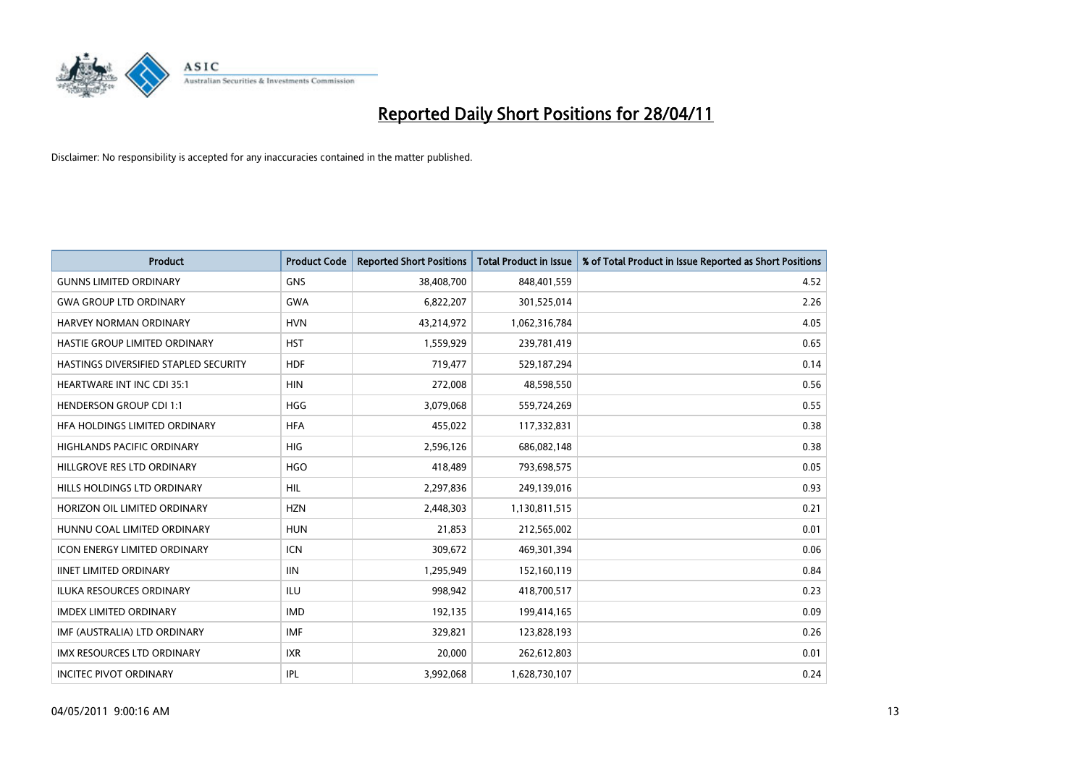

| <b>Product</b>                        | <b>Product Code</b> | <b>Reported Short Positions</b> | <b>Total Product in Issue</b> | % of Total Product in Issue Reported as Short Positions |
|---------------------------------------|---------------------|---------------------------------|-------------------------------|---------------------------------------------------------|
| <b>GUNNS LIMITED ORDINARY</b>         | <b>GNS</b>          | 38,408,700                      | 848,401,559                   | 4.52                                                    |
| <b>GWA GROUP LTD ORDINARY</b>         | <b>GWA</b>          | 6,822,207                       | 301,525,014                   | 2.26                                                    |
| HARVEY NORMAN ORDINARY                | <b>HVN</b>          | 43,214,972                      | 1,062,316,784                 | 4.05                                                    |
| HASTIE GROUP LIMITED ORDINARY         | <b>HST</b>          | 1,559,929                       | 239,781,419                   | 0.65                                                    |
| HASTINGS DIVERSIFIED STAPLED SECURITY | <b>HDF</b>          | 719,477                         | 529,187,294                   | 0.14                                                    |
| <b>HEARTWARE INT INC CDI 35:1</b>     | <b>HIN</b>          | 272,008                         | 48,598,550                    | 0.56                                                    |
| <b>HENDERSON GROUP CDI 1:1</b>        | <b>HGG</b>          | 3,079,068                       | 559,724,269                   | 0.55                                                    |
| HFA HOLDINGS LIMITED ORDINARY         | <b>HFA</b>          | 455,022                         | 117,332,831                   | 0.38                                                    |
| HIGHLANDS PACIFIC ORDINARY            | HIG                 | 2,596,126                       | 686,082,148                   | 0.38                                                    |
| HILLGROVE RES LTD ORDINARY            | <b>HGO</b>          | 418,489                         | 793,698,575                   | 0.05                                                    |
| HILLS HOLDINGS LTD ORDINARY           | <b>HIL</b>          | 2,297,836                       | 249,139,016                   | 0.93                                                    |
| HORIZON OIL LIMITED ORDINARY          | <b>HZN</b>          | 2,448,303                       | 1,130,811,515                 | 0.21                                                    |
| HUNNU COAL LIMITED ORDINARY           | <b>HUN</b>          | 21,853                          | 212,565,002                   | 0.01                                                    |
| <b>ICON ENERGY LIMITED ORDINARY</b>   | <b>ICN</b>          | 309,672                         | 469,301,394                   | 0.06                                                    |
| <b>IINET LIMITED ORDINARY</b>         | <b>IIN</b>          | 1,295,949                       | 152,160,119                   | 0.84                                                    |
| ILUKA RESOURCES ORDINARY              | ILU                 | 998,942                         | 418,700,517                   | 0.23                                                    |
| <b>IMDEX LIMITED ORDINARY</b>         | <b>IMD</b>          | 192,135                         | 199,414,165                   | 0.09                                                    |
| IMF (AUSTRALIA) LTD ORDINARY          | <b>IMF</b>          | 329,821                         | 123,828,193                   | 0.26                                                    |
| <b>IMX RESOURCES LTD ORDINARY</b>     | <b>IXR</b>          | 20,000                          | 262,612,803                   | 0.01                                                    |
| <b>INCITEC PIVOT ORDINARY</b>         | <b>IPL</b>          | 3,992,068                       | 1,628,730,107                 | 0.24                                                    |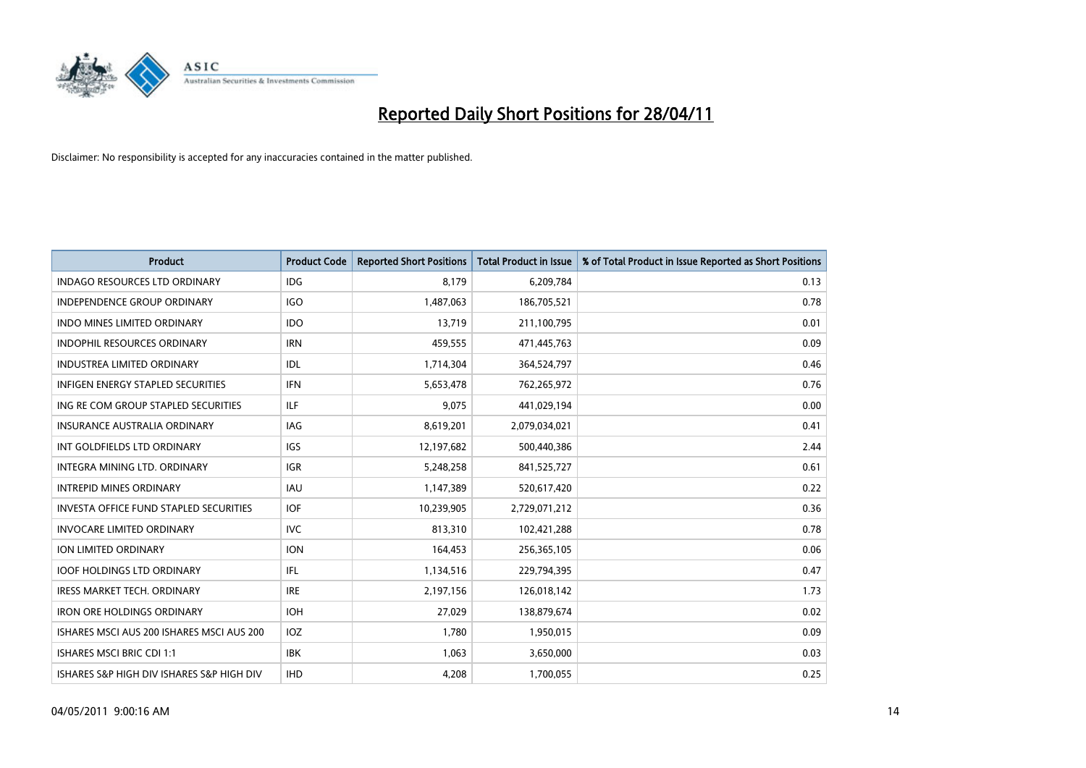

| <b>Product</b>                                | <b>Product Code</b> | <b>Reported Short Positions</b> | <b>Total Product in Issue</b> | % of Total Product in Issue Reported as Short Positions |
|-----------------------------------------------|---------------------|---------------------------------|-------------------------------|---------------------------------------------------------|
| <b>INDAGO RESOURCES LTD ORDINARY</b>          | <b>IDG</b>          | 8.179                           | 6,209,784                     | 0.13                                                    |
| <b>INDEPENDENCE GROUP ORDINARY</b>            | <b>IGO</b>          | 1,487,063                       | 186,705,521                   | 0.78                                                    |
| <b>INDO MINES LIMITED ORDINARY</b>            | <b>IDO</b>          | 13,719                          | 211,100,795                   | 0.01                                                    |
| INDOPHIL RESOURCES ORDINARY                   | <b>IRN</b>          | 459,555                         | 471,445,763                   | 0.09                                                    |
| <b>INDUSTREA LIMITED ORDINARY</b>             | IDL                 | 1,714,304                       | 364,524,797                   | 0.46                                                    |
| <b>INFIGEN ENERGY STAPLED SECURITIES</b>      | <b>IFN</b>          | 5,653,478                       | 762,265,972                   | 0.76                                                    |
| ING RE COM GROUP STAPLED SECURITIES           | <b>ILF</b>          | 9,075                           | 441,029,194                   | 0.00                                                    |
| <b>INSURANCE AUSTRALIA ORDINARY</b>           | <b>IAG</b>          | 8,619,201                       | 2,079,034,021                 | 0.41                                                    |
| INT GOLDFIELDS LTD ORDINARY                   | <b>IGS</b>          | 12,197,682                      | 500,440,386                   | 2.44                                                    |
| <b>INTEGRA MINING LTD, ORDINARY</b>           | <b>IGR</b>          | 5,248,258                       | 841,525,727                   | 0.61                                                    |
| <b>INTREPID MINES ORDINARY</b>                | <b>IAU</b>          | 1,147,389                       | 520,617,420                   | 0.22                                                    |
| <b>INVESTA OFFICE FUND STAPLED SECURITIES</b> | <b>IOF</b>          | 10,239,905                      | 2,729,071,212                 | 0.36                                                    |
| <b>INVOCARE LIMITED ORDINARY</b>              | <b>IVC</b>          | 813,310                         | 102,421,288                   | 0.78                                                    |
| <b>ION LIMITED ORDINARY</b>                   | <b>ION</b>          | 164,453                         | 256,365,105                   | 0.06                                                    |
| <b>IOOF HOLDINGS LTD ORDINARY</b>             | IFL.                | 1,134,516                       | 229,794,395                   | 0.47                                                    |
| <b>IRESS MARKET TECH. ORDINARY</b>            | <b>IRE</b>          | 2,197,156                       | 126,018,142                   | 1.73                                                    |
| <b>IRON ORE HOLDINGS ORDINARY</b>             | <b>IOH</b>          | 27,029                          | 138,879,674                   | 0.02                                                    |
| ISHARES MSCI AUS 200 ISHARES MSCI AUS 200     | <b>IOZ</b>          | 1.780                           | 1,950,015                     | 0.09                                                    |
| <b>ISHARES MSCI BRIC CDI 1:1</b>              | <b>IBK</b>          | 1,063                           | 3,650,000                     | 0.03                                                    |
| ISHARES S&P HIGH DIV ISHARES S&P HIGH DIV     | <b>IHD</b>          | 4,208                           | 1,700,055                     | 0.25                                                    |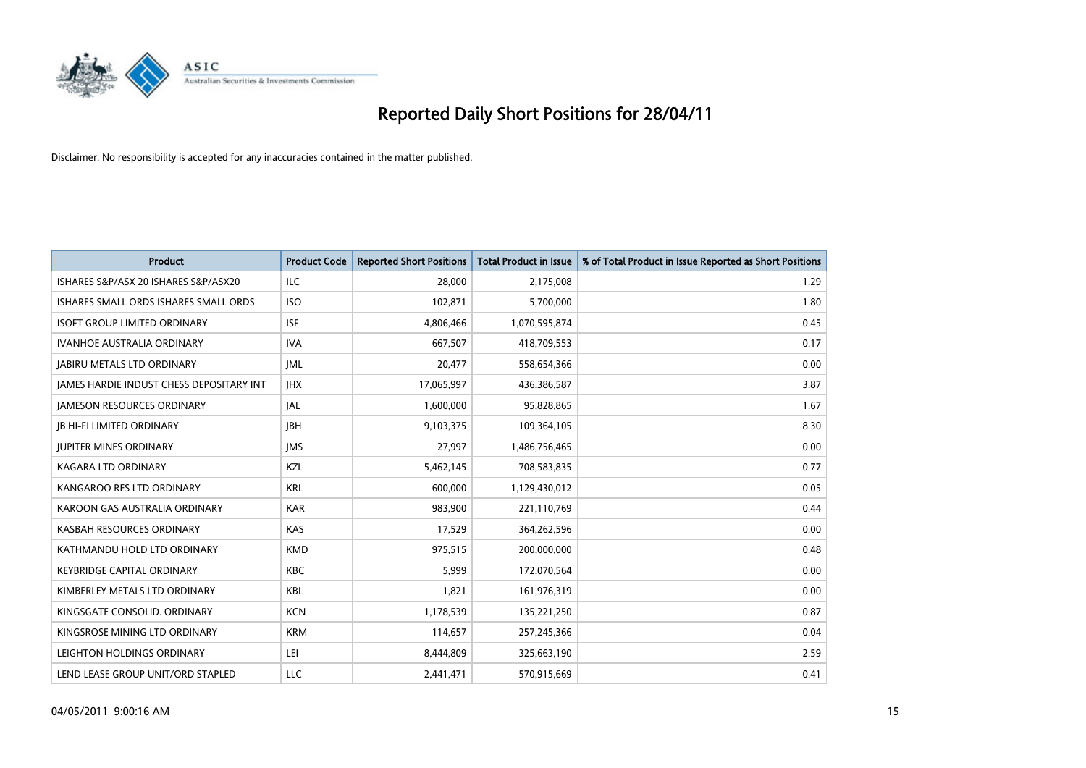

| <b>Product</b>                                  | <b>Product Code</b> | <b>Reported Short Positions</b> | Total Product in Issue | % of Total Product in Issue Reported as Short Positions |
|-------------------------------------------------|---------------------|---------------------------------|------------------------|---------------------------------------------------------|
| ISHARES S&P/ASX 20 ISHARES S&P/ASX20            | <b>ILC</b>          | 28.000                          | 2,175,008              | 1.29                                                    |
| ISHARES SMALL ORDS ISHARES SMALL ORDS           | <b>ISO</b>          | 102,871                         | 5,700,000              | 1.80                                                    |
| <b>ISOFT GROUP LIMITED ORDINARY</b>             | <b>ISF</b>          | 4,806,466                       | 1,070,595,874          | 0.45                                                    |
| <b>IVANHOE AUSTRALIA ORDINARY</b>               | <b>IVA</b>          | 667,507                         | 418,709,553            | 0.17                                                    |
| <b>JABIRU METALS LTD ORDINARY</b>               | <b>JML</b>          | 20,477                          | 558,654,366            | 0.00                                                    |
| <b>JAMES HARDIE INDUST CHESS DEPOSITARY INT</b> | <b>IHX</b>          | 17,065,997                      | 436,386,587            | 3.87                                                    |
| <b>JAMESON RESOURCES ORDINARY</b>               | <b>JAL</b>          | 1,600,000                       | 95,828,865             | 1.67                                                    |
| <b>JB HI-FI LIMITED ORDINARY</b>                | <b>IBH</b>          | 9,103,375                       | 109,364,105            | 8.30                                                    |
| <b>JUPITER MINES ORDINARY</b>                   | <b>IMS</b>          | 27,997                          | 1,486,756,465          | 0.00                                                    |
| <b>KAGARA LTD ORDINARY</b>                      | KZL                 | 5,462,145                       | 708,583,835            | 0.77                                                    |
| KANGAROO RES LTD ORDINARY                       | <b>KRL</b>          | 600,000                         | 1,129,430,012          | 0.05                                                    |
| KAROON GAS AUSTRALIA ORDINARY                   | <b>KAR</b>          | 983,900                         | 221,110,769            | 0.44                                                    |
| KASBAH RESOURCES ORDINARY                       | KAS                 | 17,529                          | 364,262,596            | 0.00                                                    |
| KATHMANDU HOLD LTD ORDINARY                     | <b>KMD</b>          | 975,515                         | 200,000,000            | 0.48                                                    |
| <b>KEYBRIDGE CAPITAL ORDINARY</b>               | <b>KBC</b>          | 5,999                           | 172,070,564            | 0.00                                                    |
| KIMBERLEY METALS LTD ORDINARY                   | <b>KBL</b>          | 1,821                           | 161,976,319            | 0.00                                                    |
| KINGSGATE CONSOLID. ORDINARY                    | <b>KCN</b>          | 1,178,539                       | 135,221,250            | 0.87                                                    |
| KINGSROSE MINING LTD ORDINARY                   | <b>KRM</b>          | 114,657                         | 257,245,366            | 0.04                                                    |
| LEIGHTON HOLDINGS ORDINARY                      | LEI                 | 8,444,809                       | 325,663,190            | 2.59                                                    |
| LEND LEASE GROUP UNIT/ORD STAPLED               | LLC                 | 2,441,471                       | 570,915,669            | 0.41                                                    |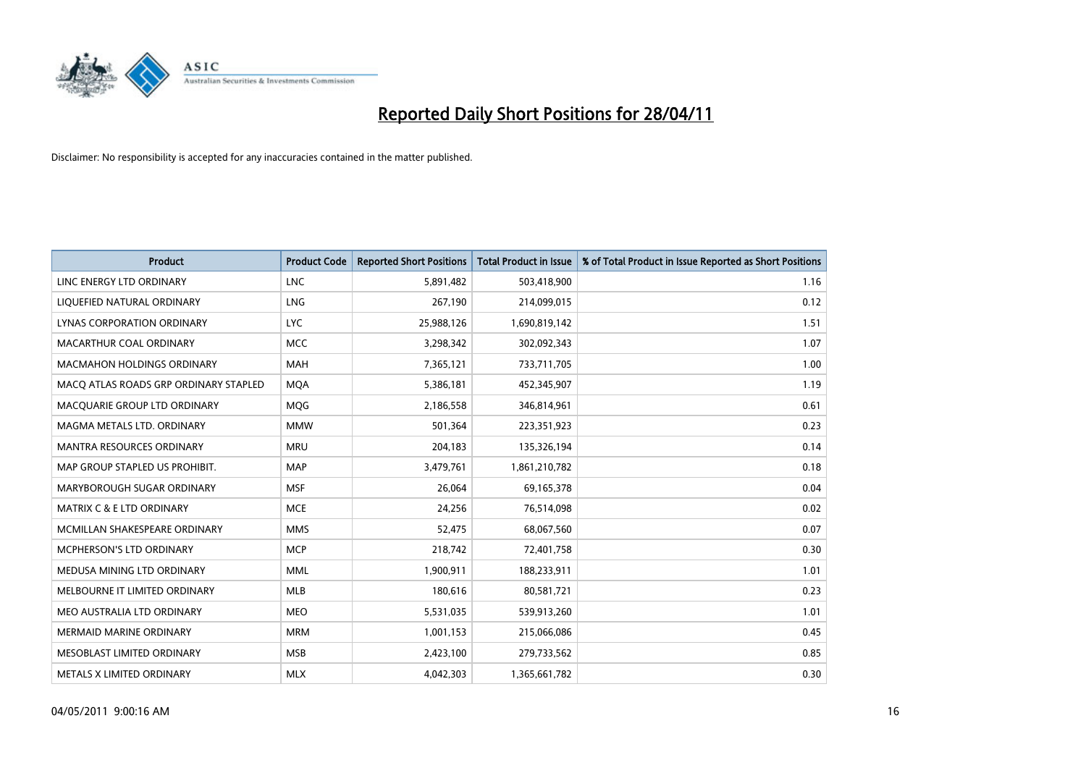

| <b>Product</b>                        | <b>Product Code</b> | <b>Reported Short Positions</b> | <b>Total Product in Issue</b> | % of Total Product in Issue Reported as Short Positions |
|---------------------------------------|---------------------|---------------------------------|-------------------------------|---------------------------------------------------------|
| LINC ENERGY LTD ORDINARY              | <b>LNC</b>          | 5,891,482                       | 503,418,900                   | 1.16                                                    |
| LIQUEFIED NATURAL ORDINARY            | LNG                 | 267,190                         | 214,099,015                   | 0.12                                                    |
| LYNAS CORPORATION ORDINARY            | <b>LYC</b>          | 25,988,126                      | 1,690,819,142                 | 1.51                                                    |
| MACARTHUR COAL ORDINARY               | <b>MCC</b>          | 3,298,342                       | 302,092,343                   | 1.07                                                    |
| <b>MACMAHON HOLDINGS ORDINARY</b>     | <b>MAH</b>          | 7,365,121                       | 733,711,705                   | 1.00                                                    |
| MACQ ATLAS ROADS GRP ORDINARY STAPLED | <b>MOA</b>          | 5,386,181                       | 452,345,907                   | 1.19                                                    |
| MACQUARIE GROUP LTD ORDINARY          | <b>MOG</b>          | 2,186,558                       | 346,814,961                   | 0.61                                                    |
| MAGMA METALS LTD. ORDINARY            | <b>MMW</b>          | 501,364                         | 223,351,923                   | 0.23                                                    |
| MANTRA RESOURCES ORDINARY             | <b>MRU</b>          | 204,183                         | 135,326,194                   | 0.14                                                    |
| MAP GROUP STAPLED US PROHIBIT.        | <b>MAP</b>          | 3,479,761                       | 1,861,210,782                 | 0.18                                                    |
| MARYBOROUGH SUGAR ORDINARY            | <b>MSF</b>          | 26,064                          | 69,165,378                    | 0.04                                                    |
| MATRIX C & E LTD ORDINARY             | <b>MCE</b>          | 24,256                          | 76,514,098                    | 0.02                                                    |
| MCMILLAN SHAKESPEARE ORDINARY         | <b>MMS</b>          | 52,475                          | 68,067,560                    | 0.07                                                    |
| <b>MCPHERSON'S LTD ORDINARY</b>       | <b>MCP</b>          | 218,742                         | 72,401,758                    | 0.30                                                    |
| MEDUSA MINING LTD ORDINARY            | <b>MML</b>          | 1,900,911                       | 188,233,911                   | 1.01                                                    |
| MELBOURNE IT LIMITED ORDINARY         | <b>MLB</b>          | 180,616                         | 80,581,721                    | 0.23                                                    |
| MEO AUSTRALIA LTD ORDINARY            | <b>MEO</b>          | 5,531,035                       | 539,913,260                   | 1.01                                                    |
| MERMAID MARINE ORDINARY               | <b>MRM</b>          | 1,001,153                       | 215,066,086                   | 0.45                                                    |
| MESOBLAST LIMITED ORDINARY            | <b>MSB</b>          | 2,423,100                       | 279,733,562                   | 0.85                                                    |
| METALS X LIMITED ORDINARY             | <b>MLX</b>          | 4,042,303                       | 1,365,661,782                 | 0.30                                                    |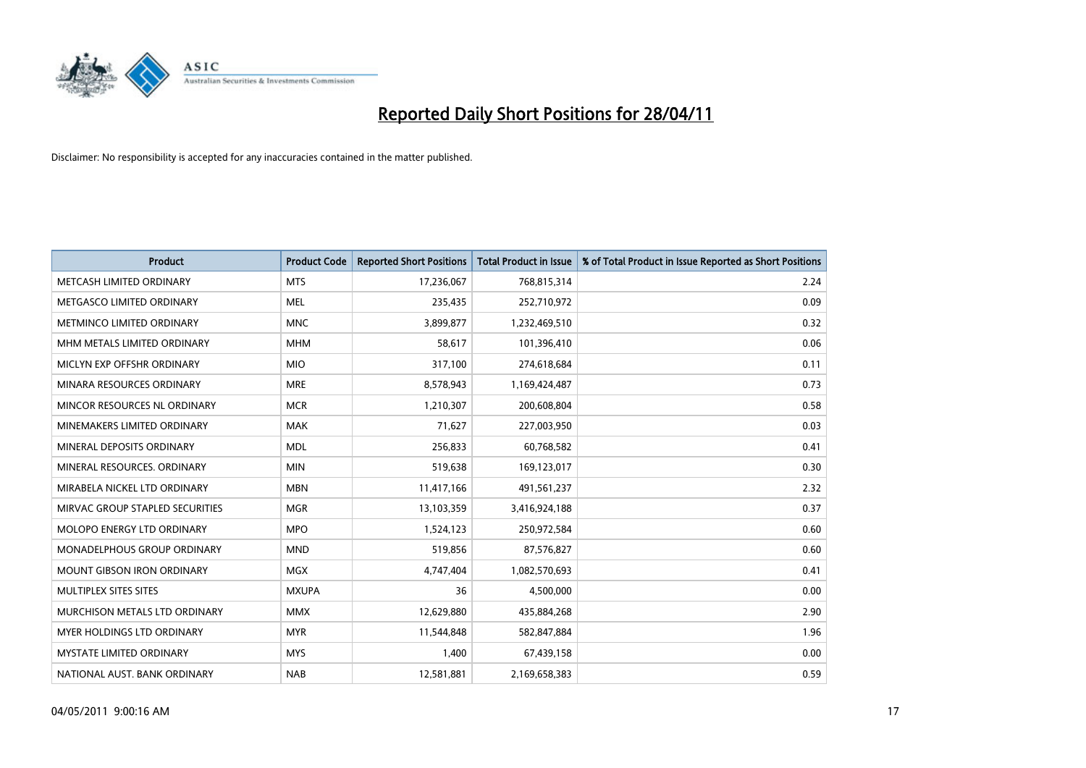

| <b>Product</b>                     | <b>Product Code</b> | <b>Reported Short Positions</b> | <b>Total Product in Issue</b> | % of Total Product in Issue Reported as Short Positions |
|------------------------------------|---------------------|---------------------------------|-------------------------------|---------------------------------------------------------|
| METCASH LIMITED ORDINARY           | <b>MTS</b>          | 17,236,067                      | 768,815,314                   | 2.24                                                    |
| METGASCO LIMITED ORDINARY          | <b>MEL</b>          | 235,435                         | 252,710,972                   | 0.09                                                    |
| METMINCO LIMITED ORDINARY          | <b>MNC</b>          | 3,899,877                       | 1,232,469,510                 | 0.32                                                    |
| MHM METALS LIMITED ORDINARY        | <b>MHM</b>          | 58,617                          | 101,396,410                   | 0.06                                                    |
| MICLYN EXP OFFSHR ORDINARY         | <b>MIO</b>          | 317,100                         | 274,618,684                   | 0.11                                                    |
| MINARA RESOURCES ORDINARY          | <b>MRE</b>          | 8,578,943                       | 1,169,424,487                 | 0.73                                                    |
| MINCOR RESOURCES NL ORDINARY       | <b>MCR</b>          | 1,210,307                       | 200,608,804                   | 0.58                                                    |
| MINEMAKERS LIMITED ORDINARY        | <b>MAK</b>          | 71,627                          | 227,003,950                   | 0.03                                                    |
| MINERAL DEPOSITS ORDINARY          | <b>MDL</b>          | 256,833                         | 60,768,582                    | 0.41                                                    |
| MINERAL RESOURCES, ORDINARY        | <b>MIN</b>          | 519,638                         | 169,123,017                   | 0.30                                                    |
| MIRABELA NICKEL LTD ORDINARY       | <b>MBN</b>          | 11,417,166                      | 491,561,237                   | 2.32                                                    |
| MIRVAC GROUP STAPLED SECURITIES    | <b>MGR</b>          | 13,103,359                      | 3,416,924,188                 | 0.37                                                    |
| MOLOPO ENERGY LTD ORDINARY         | <b>MPO</b>          | 1,524,123                       | 250,972,584                   | 0.60                                                    |
| <b>MONADELPHOUS GROUP ORDINARY</b> | <b>MND</b>          | 519,856                         | 87,576,827                    | 0.60                                                    |
| <b>MOUNT GIBSON IRON ORDINARY</b>  | <b>MGX</b>          | 4,747,404                       | 1,082,570,693                 | 0.41                                                    |
| MULTIPLEX SITES SITES              | <b>MXUPA</b>        | 36                              | 4,500,000                     | 0.00                                                    |
| MURCHISON METALS LTD ORDINARY      | <b>MMX</b>          | 12,629,880                      | 435,884,268                   | 2.90                                                    |
| <b>MYER HOLDINGS LTD ORDINARY</b>  | <b>MYR</b>          | 11,544,848                      | 582,847,884                   | 1.96                                                    |
| <b>MYSTATE LIMITED ORDINARY</b>    | <b>MYS</b>          | 1,400                           | 67,439,158                    | 0.00                                                    |
| NATIONAL AUST. BANK ORDINARY       | <b>NAB</b>          | 12,581,881                      | 2,169,658,383                 | 0.59                                                    |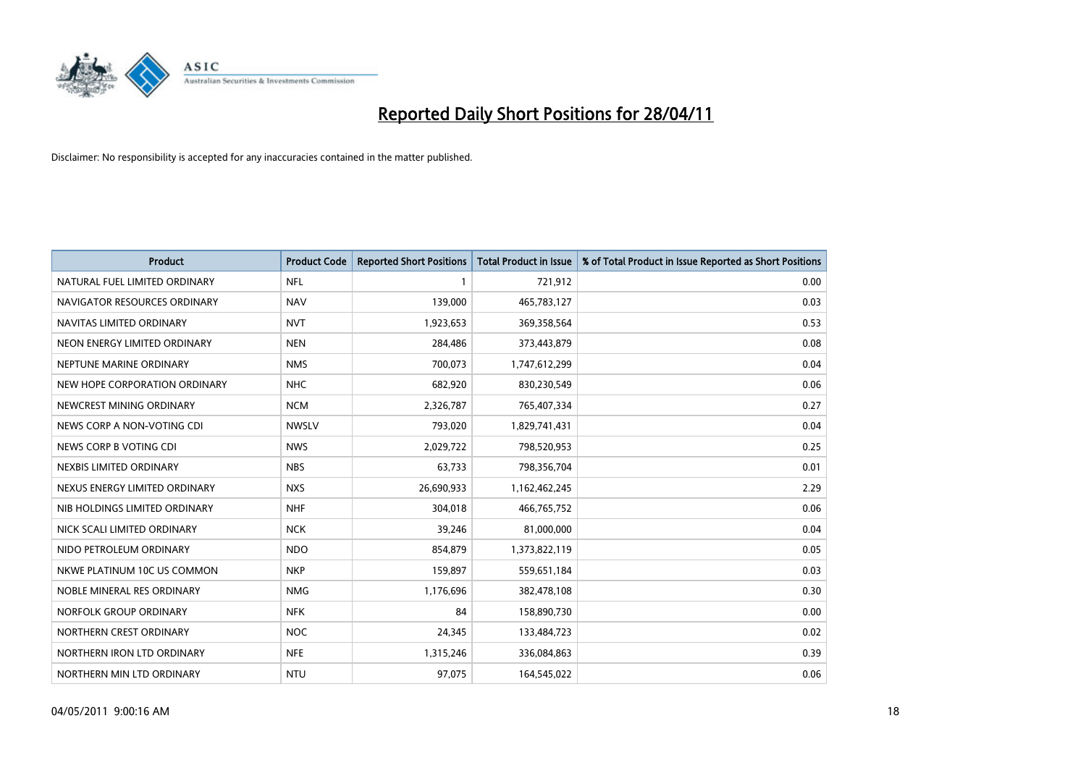

| <b>Product</b>                | <b>Product Code</b> | <b>Reported Short Positions</b> | <b>Total Product in Issue</b> | % of Total Product in Issue Reported as Short Positions |
|-------------------------------|---------------------|---------------------------------|-------------------------------|---------------------------------------------------------|
| NATURAL FUEL LIMITED ORDINARY | <b>NFL</b>          |                                 | 721,912                       | 0.00                                                    |
| NAVIGATOR RESOURCES ORDINARY  | <b>NAV</b>          | 139,000                         | 465,783,127                   | 0.03                                                    |
| NAVITAS LIMITED ORDINARY      | <b>NVT</b>          | 1,923,653                       | 369,358,564                   | 0.53                                                    |
| NEON ENERGY LIMITED ORDINARY  | <b>NEN</b>          | 284,486                         | 373,443,879                   | 0.08                                                    |
| NEPTUNE MARINE ORDINARY       | <b>NMS</b>          | 700,073                         | 1,747,612,299                 | 0.04                                                    |
| NEW HOPE CORPORATION ORDINARY | <b>NHC</b>          | 682,920                         | 830,230,549                   | 0.06                                                    |
| NEWCREST MINING ORDINARY      | <b>NCM</b>          | 2,326,787                       | 765,407,334                   | 0.27                                                    |
| NEWS CORP A NON-VOTING CDI    | <b>NWSLV</b>        | 793,020                         | 1,829,741,431                 | 0.04                                                    |
| NEWS CORP B VOTING CDI        | <b>NWS</b>          | 2,029,722                       | 798,520,953                   | 0.25                                                    |
| NEXBIS LIMITED ORDINARY       | <b>NBS</b>          | 63,733                          | 798,356,704                   | 0.01                                                    |
| NEXUS ENERGY LIMITED ORDINARY | <b>NXS</b>          | 26,690,933                      | 1,162,462,245                 | 2.29                                                    |
| NIB HOLDINGS LIMITED ORDINARY | <b>NHF</b>          | 304,018                         | 466,765,752                   | 0.06                                                    |
| NICK SCALI LIMITED ORDINARY   | <b>NCK</b>          | 39,246                          | 81,000,000                    | 0.04                                                    |
| NIDO PETROLEUM ORDINARY       | <b>NDO</b>          | 854,879                         | 1,373,822,119                 | 0.05                                                    |
| NKWE PLATINUM 10C US COMMON   | <b>NKP</b>          | 159,897                         | 559,651,184                   | 0.03                                                    |
| NOBLE MINERAL RES ORDINARY    | <b>NMG</b>          | 1,176,696                       | 382,478,108                   | 0.30                                                    |
| NORFOLK GROUP ORDINARY        | <b>NFK</b>          | 84                              | 158,890,730                   | 0.00                                                    |
| NORTHERN CREST ORDINARY       | <b>NOC</b>          | 24,345                          | 133,484,723                   | 0.02                                                    |
| NORTHERN IRON LTD ORDINARY    | <b>NFE</b>          | 1,315,246                       | 336,084,863                   | 0.39                                                    |
| NORTHERN MIN LTD ORDINARY     | <b>NTU</b>          | 97,075                          | 164,545,022                   | 0.06                                                    |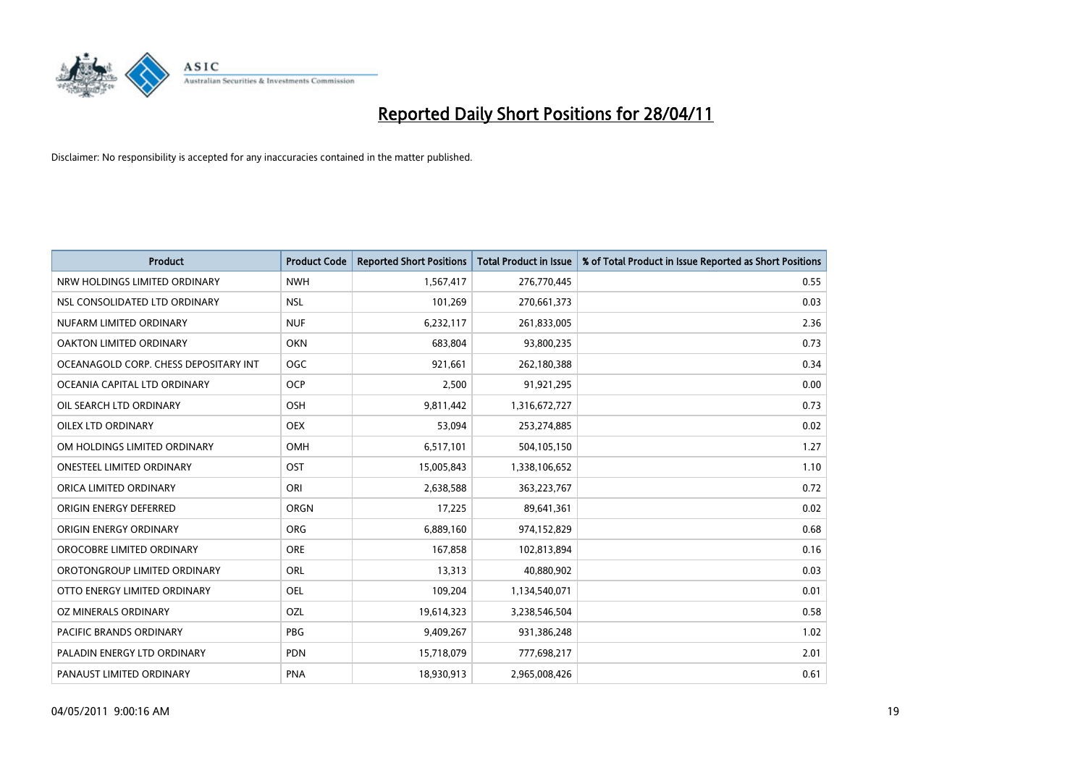

| <b>Product</b>                        | <b>Product Code</b> | <b>Reported Short Positions</b> | <b>Total Product in Issue</b> | % of Total Product in Issue Reported as Short Positions |
|---------------------------------------|---------------------|---------------------------------|-------------------------------|---------------------------------------------------------|
| NRW HOLDINGS LIMITED ORDINARY         | <b>NWH</b>          | 1,567,417                       | 276,770,445                   | 0.55                                                    |
| NSL CONSOLIDATED LTD ORDINARY         | <b>NSL</b>          | 101,269                         | 270,661,373                   | 0.03                                                    |
| NUFARM LIMITED ORDINARY               | <b>NUF</b>          | 6,232,117                       | 261,833,005                   | 2.36                                                    |
| OAKTON LIMITED ORDINARY               | <b>OKN</b>          | 683,804                         | 93,800,235                    | 0.73                                                    |
| OCEANAGOLD CORP. CHESS DEPOSITARY INT | <b>OGC</b>          | 921,661                         | 262,180,388                   | 0.34                                                    |
| OCEANIA CAPITAL LTD ORDINARY          | <b>OCP</b>          | 2,500                           | 91,921,295                    | 0.00                                                    |
| OIL SEARCH LTD ORDINARY               | OSH                 | 9,811,442                       | 1,316,672,727                 | 0.73                                                    |
| OILEX LTD ORDINARY                    | <b>OEX</b>          | 53,094                          | 253,274,885                   | 0.02                                                    |
| OM HOLDINGS LIMITED ORDINARY          | <b>OMH</b>          | 6,517,101                       | 504,105,150                   | 1.27                                                    |
| <b>ONESTEEL LIMITED ORDINARY</b>      | OST                 | 15,005,843                      | 1,338,106,652                 | 1.10                                                    |
| ORICA LIMITED ORDINARY                | ORI                 | 2,638,588                       | 363,223,767                   | 0.72                                                    |
| ORIGIN ENERGY DEFERRED                | ORGN                | 17,225                          | 89,641,361                    | 0.02                                                    |
| ORIGIN ENERGY ORDINARY                | <b>ORG</b>          | 6,889,160                       | 974,152,829                   | 0.68                                                    |
| OROCOBRE LIMITED ORDINARY             | <b>ORE</b>          | 167,858                         | 102,813,894                   | 0.16                                                    |
| OROTONGROUP LIMITED ORDINARY          | <b>ORL</b>          | 13,313                          | 40,880,902                    | 0.03                                                    |
| OTTO ENERGY LIMITED ORDINARY          | <b>OEL</b>          | 109,204                         | 1,134,540,071                 | 0.01                                                    |
| OZ MINERALS ORDINARY                  | OZL                 | 19,614,323                      | 3,238,546,504                 | 0.58                                                    |
| <b>PACIFIC BRANDS ORDINARY</b>        | <b>PBG</b>          | 9,409,267                       | 931,386,248                   | 1.02                                                    |
| PALADIN ENERGY LTD ORDINARY           | <b>PDN</b>          | 15,718,079                      | 777,698,217                   | 2.01                                                    |
| PANAUST LIMITED ORDINARY              | <b>PNA</b>          | 18,930,913                      | 2,965,008,426                 | 0.61                                                    |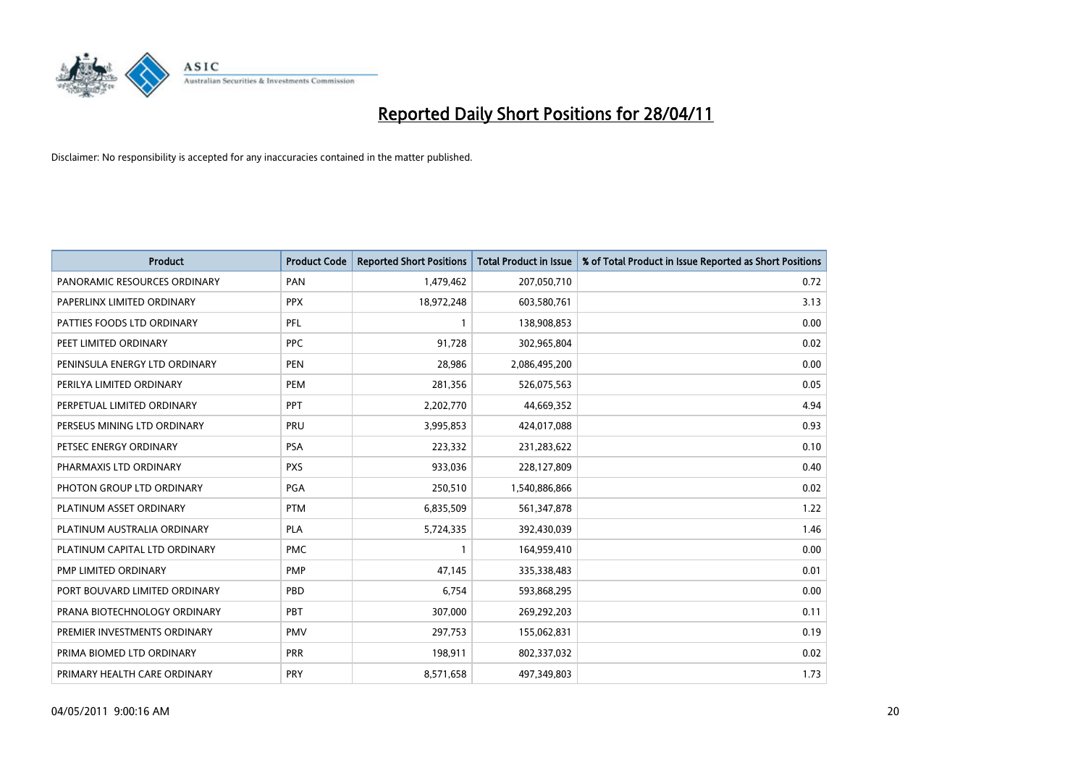

| <b>Product</b>                | <b>Product Code</b> | <b>Reported Short Positions</b> | <b>Total Product in Issue</b> | % of Total Product in Issue Reported as Short Positions |
|-------------------------------|---------------------|---------------------------------|-------------------------------|---------------------------------------------------------|
| PANORAMIC RESOURCES ORDINARY  | PAN                 | 1,479,462                       | 207,050,710                   | 0.72                                                    |
| PAPERLINX LIMITED ORDINARY    | <b>PPX</b>          | 18,972,248                      | 603,580,761                   | 3.13                                                    |
| PATTIES FOODS LTD ORDINARY    | PFL                 |                                 | 138,908,853                   | 0.00                                                    |
| PEET LIMITED ORDINARY         | PPC                 | 91,728                          | 302,965,804                   | 0.02                                                    |
| PENINSULA ENERGY LTD ORDINARY | <b>PEN</b>          | 28,986                          | 2,086,495,200                 | 0.00                                                    |
| PERILYA LIMITED ORDINARY      | PEM                 | 281,356                         | 526,075,563                   | 0.05                                                    |
| PERPETUAL LIMITED ORDINARY    | <b>PPT</b>          | 2,202,770                       | 44,669,352                    | 4.94                                                    |
| PERSEUS MINING LTD ORDINARY   | PRU                 | 3,995,853                       | 424,017,088                   | 0.93                                                    |
| PETSEC ENERGY ORDINARY        | <b>PSA</b>          | 223,332                         | 231,283,622                   | 0.10                                                    |
| PHARMAXIS LTD ORDINARY        | <b>PXS</b>          | 933,036                         | 228,127,809                   | 0.40                                                    |
| PHOTON GROUP LTD ORDINARY     | <b>PGA</b>          | 250,510                         | 1,540,886,866                 | 0.02                                                    |
| PLATINUM ASSET ORDINARY       | <b>PTM</b>          | 6,835,509                       | 561,347,878                   | 1.22                                                    |
| PLATINUM AUSTRALIA ORDINARY   | <b>PLA</b>          | 5,724,335                       | 392,430,039                   | 1.46                                                    |
| PLATINUM CAPITAL LTD ORDINARY | <b>PMC</b>          |                                 | 164,959,410                   | 0.00                                                    |
| PMP LIMITED ORDINARY          | <b>PMP</b>          | 47,145                          | 335,338,483                   | 0.01                                                    |
| PORT BOUVARD LIMITED ORDINARY | PBD                 | 6.754                           | 593,868,295                   | 0.00                                                    |
| PRANA BIOTECHNOLOGY ORDINARY  | PBT                 | 307,000                         | 269,292,203                   | 0.11                                                    |
| PREMIER INVESTMENTS ORDINARY  | <b>PMV</b>          | 297,753                         | 155,062,831                   | 0.19                                                    |
| PRIMA BIOMED LTD ORDINARY     | <b>PRR</b>          | 198,911                         | 802,337,032                   | 0.02                                                    |
| PRIMARY HEALTH CARE ORDINARY  | <b>PRY</b>          | 8,571,658                       | 497,349,803                   | 1.73                                                    |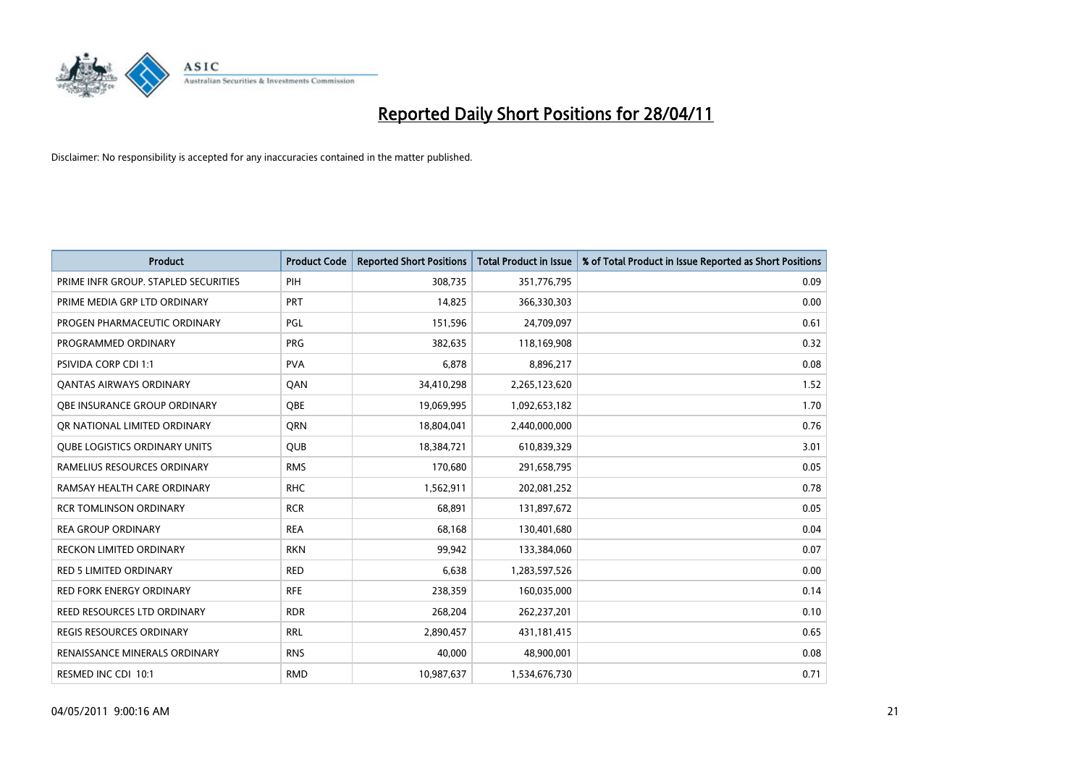

| <b>Product</b>                       | <b>Product Code</b> | <b>Reported Short Positions</b> | <b>Total Product in Issue</b> | % of Total Product in Issue Reported as Short Positions |
|--------------------------------------|---------------------|---------------------------------|-------------------------------|---------------------------------------------------------|
| PRIME INFR GROUP. STAPLED SECURITIES | PIH                 | 308,735                         | 351,776,795                   | 0.09                                                    |
| PRIME MEDIA GRP LTD ORDINARY         | <b>PRT</b>          | 14,825                          | 366,330,303                   | 0.00                                                    |
| PROGEN PHARMACEUTIC ORDINARY         | PGL                 | 151,596                         | 24,709,097                    | 0.61                                                    |
| PROGRAMMED ORDINARY                  | <b>PRG</b>          | 382,635                         | 118,169,908                   | 0.32                                                    |
| PSIVIDA CORP CDI 1:1                 | <b>PVA</b>          | 6,878                           | 8,896,217                     | 0.08                                                    |
| <b>QANTAS AIRWAYS ORDINARY</b>       | QAN                 | 34,410,298                      | 2,265,123,620                 | 1.52                                                    |
| OBE INSURANCE GROUP ORDINARY         | OBE                 | 19,069,995                      | 1,092,653,182                 | 1.70                                                    |
| OR NATIONAL LIMITED ORDINARY         | <b>ORN</b>          | 18,804,041                      | 2,440,000,000                 | 0.76                                                    |
| <b>QUBE LOGISTICS ORDINARY UNITS</b> | <b>QUB</b>          | 18,384,721                      | 610,839,329                   | 3.01                                                    |
| RAMELIUS RESOURCES ORDINARY          | <b>RMS</b>          | 170,680                         | 291,658,795                   | 0.05                                                    |
| RAMSAY HEALTH CARE ORDINARY          | <b>RHC</b>          | 1,562,911                       | 202,081,252                   | 0.78                                                    |
| <b>RCR TOMLINSON ORDINARY</b>        | <b>RCR</b>          | 68,891                          | 131,897,672                   | 0.05                                                    |
| <b>REA GROUP ORDINARY</b>            | <b>REA</b>          | 68,168                          | 130,401,680                   | 0.04                                                    |
| <b>RECKON LIMITED ORDINARY</b>       | <b>RKN</b>          | 99,942                          | 133,384,060                   | 0.07                                                    |
| <b>RED 5 LIMITED ORDINARY</b>        | <b>RED</b>          | 6,638                           | 1,283,597,526                 | 0.00                                                    |
| RED FORK ENERGY ORDINARY             | <b>RFE</b>          | 238,359                         | 160,035,000                   | 0.14                                                    |
| REED RESOURCES LTD ORDINARY          | <b>RDR</b>          | 268,204                         | 262,237,201                   | 0.10                                                    |
| <b>REGIS RESOURCES ORDINARY</b>      | <b>RRL</b>          | 2,890,457                       | 431,181,415                   | 0.65                                                    |
| RENAISSANCE MINERALS ORDINARY        | <b>RNS</b>          | 40,000                          | 48,900,001                    | 0.08                                                    |
| RESMED INC CDI 10:1                  | <b>RMD</b>          | 10,987,637                      | 1,534,676,730                 | 0.71                                                    |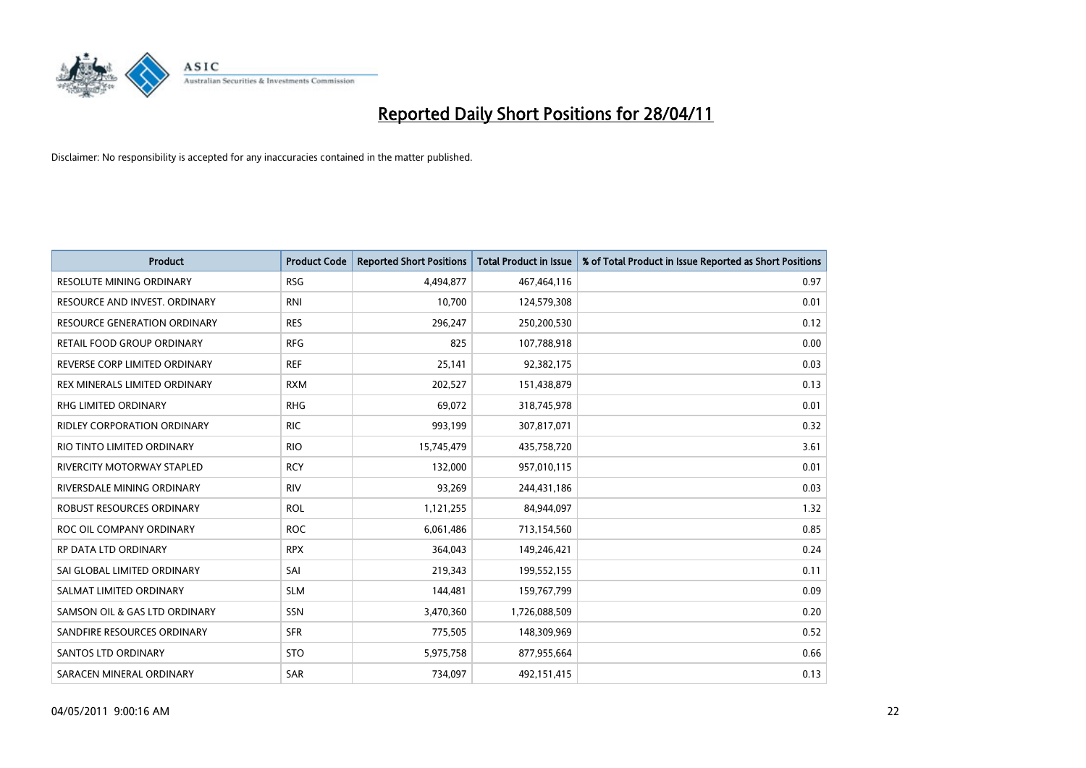

| <b>Product</b>                      | <b>Product Code</b> | <b>Reported Short Positions</b> | Total Product in Issue | % of Total Product in Issue Reported as Short Positions |
|-------------------------------------|---------------------|---------------------------------|------------------------|---------------------------------------------------------|
| <b>RESOLUTE MINING ORDINARY</b>     | <b>RSG</b>          | 4,494,877                       | 467,464,116            | 0.97                                                    |
| RESOURCE AND INVEST. ORDINARY       | <b>RNI</b>          | 10,700                          | 124,579,308            | 0.01                                                    |
| <b>RESOURCE GENERATION ORDINARY</b> | <b>RES</b>          | 296,247                         | 250,200,530            | 0.12                                                    |
| RETAIL FOOD GROUP ORDINARY          | <b>RFG</b>          | 825                             | 107,788,918            | 0.00                                                    |
| REVERSE CORP LIMITED ORDINARY       | <b>REF</b>          | 25,141                          | 92,382,175             | 0.03                                                    |
| REX MINERALS LIMITED ORDINARY       | <b>RXM</b>          | 202,527                         | 151,438,879            | 0.13                                                    |
| RHG LIMITED ORDINARY                | <b>RHG</b>          | 69,072                          | 318,745,978            | 0.01                                                    |
| RIDLEY CORPORATION ORDINARY         | <b>RIC</b>          | 993,199                         | 307,817,071            | 0.32                                                    |
| RIO TINTO LIMITED ORDINARY          | <b>RIO</b>          | 15,745,479                      | 435,758,720            | 3.61                                                    |
| RIVERCITY MOTORWAY STAPLED          | <b>RCY</b>          | 132,000                         | 957,010,115            | 0.01                                                    |
| RIVERSDALE MINING ORDINARY          | <b>RIV</b>          | 93,269                          | 244,431,186            | 0.03                                                    |
| ROBUST RESOURCES ORDINARY           | <b>ROL</b>          | 1,121,255                       | 84,944,097             | 1.32                                                    |
| ROC OIL COMPANY ORDINARY            | <b>ROC</b>          | 6,061,486                       | 713,154,560            | 0.85                                                    |
| <b>RP DATA LTD ORDINARY</b>         | <b>RPX</b>          | 364,043                         | 149,246,421            | 0.24                                                    |
| SAI GLOBAL LIMITED ORDINARY         | SAI                 | 219,343                         | 199,552,155            | 0.11                                                    |
| SALMAT LIMITED ORDINARY             | <b>SLM</b>          | 144,481                         | 159,767,799            | 0.09                                                    |
| SAMSON OIL & GAS LTD ORDINARY       | SSN                 | 3,470,360                       | 1,726,088,509          | 0.20                                                    |
| SANDFIRE RESOURCES ORDINARY         | <b>SFR</b>          | 775,505                         | 148,309,969            | 0.52                                                    |
| <b>SANTOS LTD ORDINARY</b>          | <b>STO</b>          | 5,975,758                       | 877,955,664            | 0.66                                                    |
| SARACEN MINERAL ORDINARY            | <b>SAR</b>          | 734,097                         | 492,151,415            | 0.13                                                    |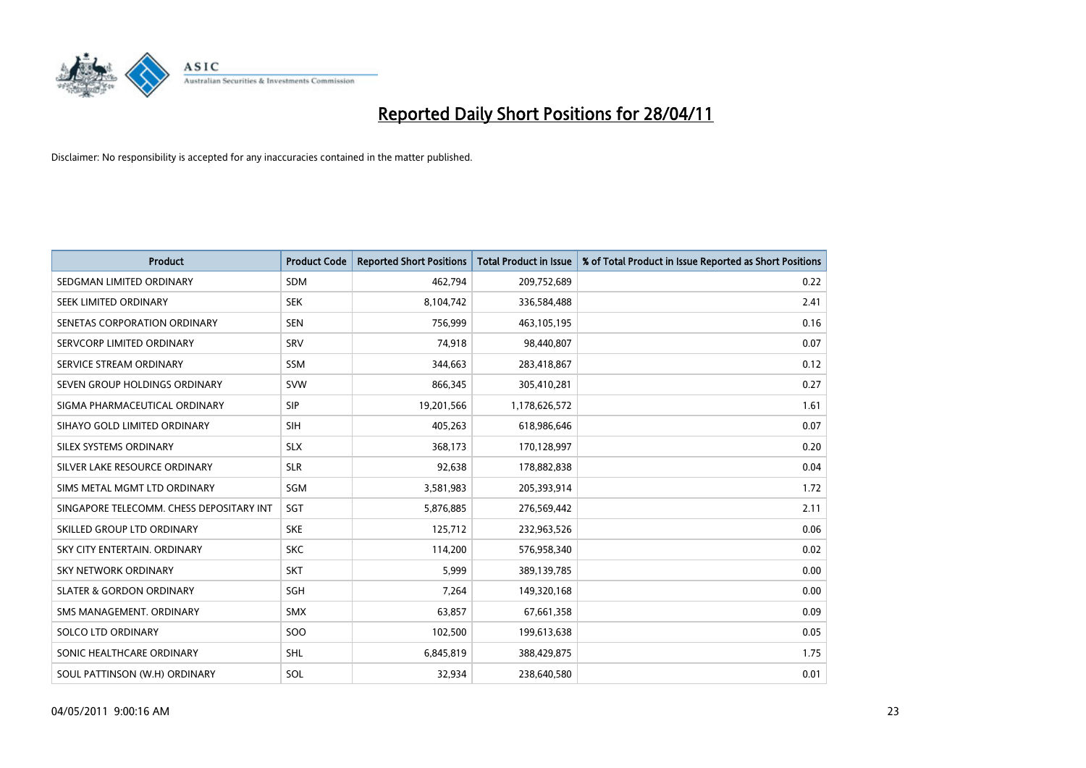

| <b>Product</b>                           | <b>Product Code</b> | <b>Reported Short Positions</b> | Total Product in Issue | % of Total Product in Issue Reported as Short Positions |
|------------------------------------------|---------------------|---------------------------------|------------------------|---------------------------------------------------------|
| SEDGMAN LIMITED ORDINARY                 | <b>SDM</b>          | 462,794                         | 209,752,689            | 0.22                                                    |
| SEEK LIMITED ORDINARY                    | <b>SEK</b>          | 8,104,742                       | 336,584,488            | 2.41                                                    |
| SENETAS CORPORATION ORDINARY             | <b>SEN</b>          | 756,999                         | 463,105,195            | 0.16                                                    |
| SERVCORP LIMITED ORDINARY                | SRV                 | 74,918                          | 98,440,807             | 0.07                                                    |
| SERVICE STREAM ORDINARY                  | SSM                 | 344,663                         | 283,418,867            | 0.12                                                    |
| SEVEN GROUP HOLDINGS ORDINARY            | <b>SVW</b>          | 866,345                         | 305,410,281            | 0.27                                                    |
| SIGMA PHARMACEUTICAL ORDINARY            | <b>SIP</b>          | 19,201,566                      | 1,178,626,572          | 1.61                                                    |
| SIHAYO GOLD LIMITED ORDINARY             | <b>SIH</b>          | 405,263                         | 618,986,646            | 0.07                                                    |
| SILEX SYSTEMS ORDINARY                   | <b>SLX</b>          | 368,173                         | 170,128,997            | 0.20                                                    |
| SILVER LAKE RESOURCE ORDINARY            | <b>SLR</b>          | 92,638                          | 178,882,838            | 0.04                                                    |
| SIMS METAL MGMT LTD ORDINARY             | SGM                 | 3,581,983                       | 205,393,914            | 1.72                                                    |
| SINGAPORE TELECOMM. CHESS DEPOSITARY INT | SGT                 | 5,876,885                       | 276,569,442            | 2.11                                                    |
| SKILLED GROUP LTD ORDINARY               | <b>SKE</b>          | 125,712                         | 232,963,526            | 0.06                                                    |
| SKY CITY ENTERTAIN, ORDINARY             | <b>SKC</b>          | 114,200                         | 576,958,340            | 0.02                                                    |
| <b>SKY NETWORK ORDINARY</b>              | <b>SKT</b>          | 5,999                           | 389,139,785            | 0.00                                                    |
| <b>SLATER &amp; GORDON ORDINARY</b>      | SGH                 | 7,264                           | 149,320,168            | 0.00                                                    |
| SMS MANAGEMENT, ORDINARY                 | <b>SMX</b>          | 63,857                          | 67,661,358             | 0.09                                                    |
| SOLCO LTD ORDINARY                       | SOO                 | 102,500                         | 199,613,638            | 0.05                                                    |
| SONIC HEALTHCARE ORDINARY                | <b>SHL</b>          | 6,845,819                       | 388,429,875            | 1.75                                                    |
| SOUL PATTINSON (W.H) ORDINARY            | SOL                 | 32,934                          | 238,640,580            | 0.01                                                    |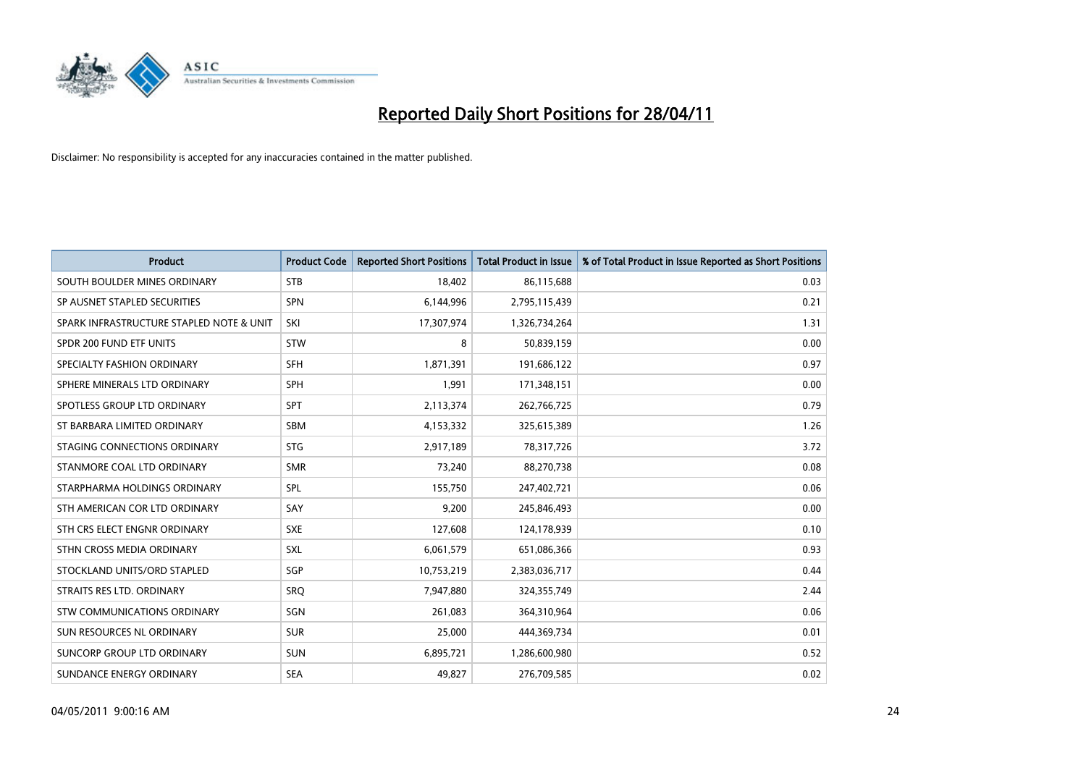

| <b>Product</b>                           | <b>Product Code</b> | <b>Reported Short Positions</b> | <b>Total Product in Issue</b> | % of Total Product in Issue Reported as Short Positions |
|------------------------------------------|---------------------|---------------------------------|-------------------------------|---------------------------------------------------------|
| SOUTH BOULDER MINES ORDINARY             | <b>STB</b>          | 18,402                          | 86,115,688                    | 0.03                                                    |
| SP AUSNET STAPLED SECURITIES             | SPN                 | 6,144,996                       | 2,795,115,439                 | 0.21                                                    |
| SPARK INFRASTRUCTURE STAPLED NOTE & UNIT | SKI                 | 17,307,974                      | 1,326,734,264                 | 1.31                                                    |
| SPDR 200 FUND ETF UNITS                  | <b>STW</b>          | 8                               | 50,839,159                    | 0.00                                                    |
| SPECIALTY FASHION ORDINARY               | <b>SFH</b>          | 1,871,391                       | 191,686,122                   | 0.97                                                    |
| SPHERE MINERALS LTD ORDINARY             | <b>SPH</b>          | 1,991                           | 171,348,151                   | 0.00                                                    |
| SPOTLESS GROUP LTD ORDINARY              | SPT                 | 2,113,374                       | 262,766,725                   | 0.79                                                    |
| ST BARBARA LIMITED ORDINARY              | <b>SBM</b>          | 4,153,332                       | 325,615,389                   | 1.26                                                    |
| STAGING CONNECTIONS ORDINARY             | <b>STG</b>          | 2,917,189                       | 78,317,726                    | 3.72                                                    |
| STANMORE COAL LTD ORDINARY               | <b>SMR</b>          | 73,240                          | 88,270,738                    | 0.08                                                    |
| STARPHARMA HOLDINGS ORDINARY             | SPL                 | 155,750                         | 247,402,721                   | 0.06                                                    |
| STH AMERICAN COR LTD ORDINARY            | SAY                 | 9,200                           | 245,846,493                   | 0.00                                                    |
| STH CRS ELECT ENGNR ORDINARY             | <b>SXE</b>          | 127,608                         | 124,178,939                   | 0.10                                                    |
| STHN CROSS MEDIA ORDINARY                | SXL                 | 6,061,579                       | 651,086,366                   | 0.93                                                    |
| STOCKLAND UNITS/ORD STAPLED              | SGP                 | 10,753,219                      | 2,383,036,717                 | 0.44                                                    |
| STRAITS RES LTD. ORDINARY                | SRO                 | 7,947,880                       | 324,355,749                   | 2.44                                                    |
| STW COMMUNICATIONS ORDINARY              | SGN                 | 261,083                         | 364,310,964                   | 0.06                                                    |
| SUN RESOURCES NL ORDINARY                | <b>SUR</b>          | 25,000                          | 444,369,734                   | 0.01                                                    |
| SUNCORP GROUP LTD ORDINARY               | <b>SUN</b>          | 6,895,721                       | 1,286,600,980                 | 0.52                                                    |
| SUNDANCE ENERGY ORDINARY                 | <b>SEA</b>          | 49,827                          | 276,709,585                   | 0.02                                                    |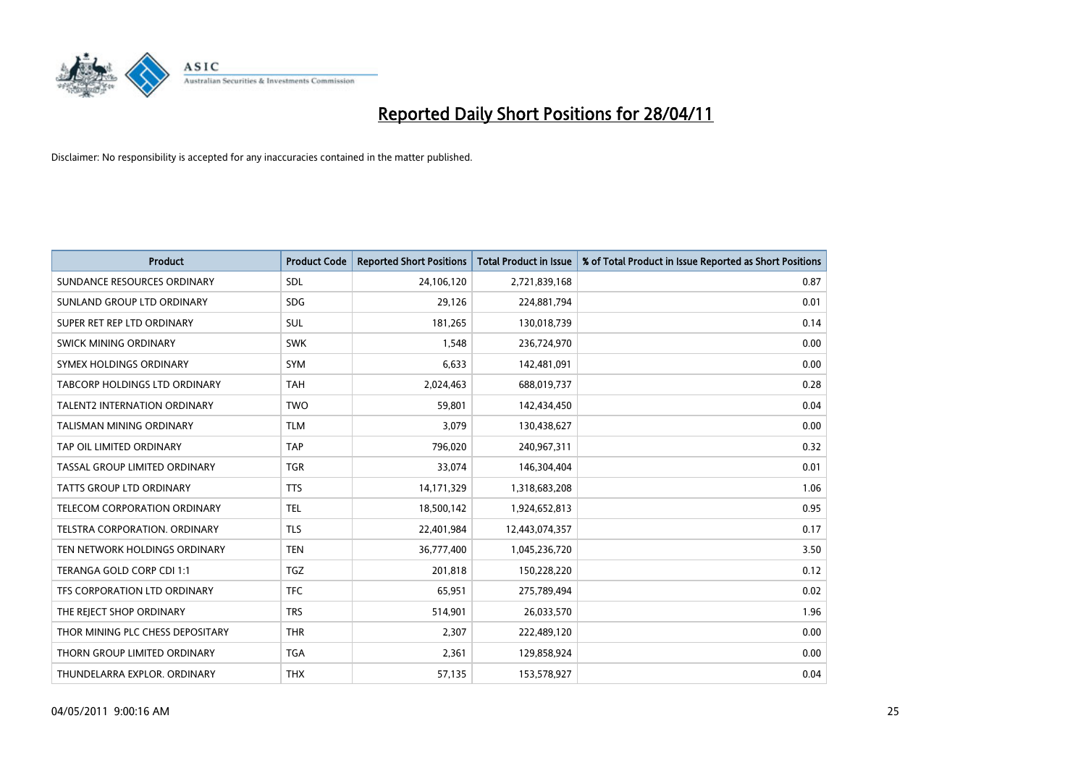

| <b>Product</b>                       | <b>Product Code</b> | <b>Reported Short Positions</b> | Total Product in Issue | % of Total Product in Issue Reported as Short Positions |
|--------------------------------------|---------------------|---------------------------------|------------------------|---------------------------------------------------------|
| SUNDANCE RESOURCES ORDINARY          | <b>SDL</b>          | 24,106,120                      | 2,721,839,168          | 0.87                                                    |
| SUNLAND GROUP LTD ORDINARY           | <b>SDG</b>          | 29,126                          | 224,881,794            | 0.01                                                    |
| SUPER RET REP LTD ORDINARY           | <b>SUL</b>          | 181,265                         | 130,018,739            | 0.14                                                    |
| SWICK MINING ORDINARY                | <b>SWK</b>          | 1,548                           | 236,724,970            | 0.00                                                    |
| SYMEX HOLDINGS ORDINARY              | <b>SYM</b>          | 6,633                           | 142,481,091            | 0.00                                                    |
| <b>TABCORP HOLDINGS LTD ORDINARY</b> | <b>TAH</b>          | 2,024,463                       | 688,019,737            | 0.28                                                    |
| <b>TALENT2 INTERNATION ORDINARY</b>  | <b>TWO</b>          | 59,801                          | 142,434,450            | 0.04                                                    |
| TALISMAN MINING ORDINARY             | <b>TLM</b>          | 3,079                           | 130,438,627            | 0.00                                                    |
| TAP OIL LIMITED ORDINARY             | <b>TAP</b>          | 796,020                         | 240,967,311            | 0.32                                                    |
| TASSAL GROUP LIMITED ORDINARY        | <b>TGR</b>          | 33,074                          | 146,304,404            | 0.01                                                    |
| <b>TATTS GROUP LTD ORDINARY</b>      | <b>TTS</b>          | 14,171,329                      | 1,318,683,208          | 1.06                                                    |
| TELECOM CORPORATION ORDINARY         | <b>TEL</b>          | 18,500,142                      | 1,924,652,813          | 0.95                                                    |
| <b>TELSTRA CORPORATION, ORDINARY</b> | <b>TLS</b>          | 22,401,984                      | 12,443,074,357         | 0.17                                                    |
| TEN NETWORK HOLDINGS ORDINARY        | <b>TEN</b>          | 36,777,400                      | 1,045,236,720          | 3.50                                                    |
| TERANGA GOLD CORP CDI 1:1            | <b>TGZ</b>          | 201,818                         | 150,228,220            | 0.12                                                    |
| TFS CORPORATION LTD ORDINARY         | <b>TFC</b>          | 65,951                          | 275,789,494            | 0.02                                                    |
| THE REJECT SHOP ORDINARY             | <b>TRS</b>          | 514,901                         | 26,033,570             | 1.96                                                    |
| THOR MINING PLC CHESS DEPOSITARY     | <b>THR</b>          | 2,307                           | 222,489,120            | 0.00                                                    |
| THORN GROUP LIMITED ORDINARY         | <b>TGA</b>          | 2,361                           | 129,858,924            | 0.00                                                    |
| THUNDELARRA EXPLOR. ORDINARY         | <b>THX</b>          | 57,135                          | 153,578,927            | 0.04                                                    |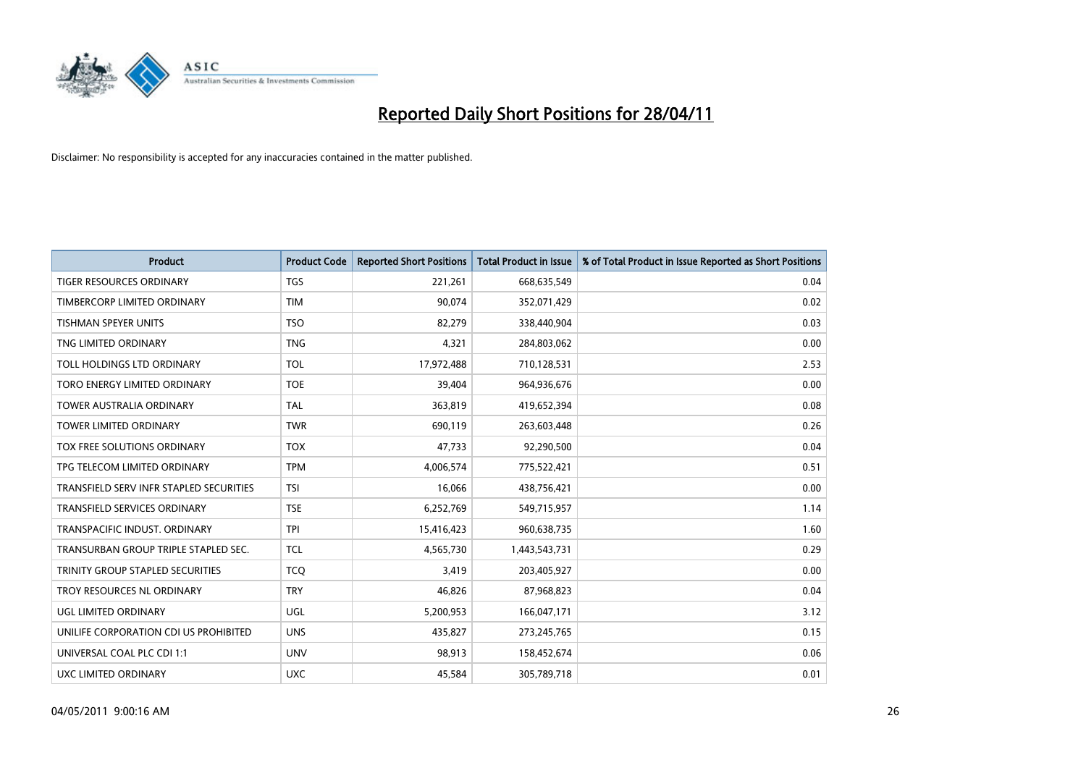

| <b>Product</b>                          | <b>Product Code</b> | <b>Reported Short Positions</b> | <b>Total Product in Issue</b> | % of Total Product in Issue Reported as Short Positions |
|-----------------------------------------|---------------------|---------------------------------|-------------------------------|---------------------------------------------------------|
| <b>TIGER RESOURCES ORDINARY</b>         | <b>TGS</b>          | 221,261                         | 668,635,549                   | 0.04                                                    |
| TIMBERCORP LIMITED ORDINARY             | <b>TIM</b>          | 90,074                          | 352,071,429                   | 0.02                                                    |
| <b>TISHMAN SPEYER UNITS</b>             | <b>TSO</b>          | 82,279                          | 338,440,904                   | 0.03                                                    |
| TNG LIMITED ORDINARY                    | <b>TNG</b>          | 4,321                           | 284,803,062                   | 0.00                                                    |
| TOLL HOLDINGS LTD ORDINARY              | <b>TOL</b>          | 17,972,488                      | 710,128,531                   | 2.53                                                    |
| TORO ENERGY LIMITED ORDINARY            | <b>TOE</b>          | 39,404                          | 964,936,676                   | 0.00                                                    |
| <b>TOWER AUSTRALIA ORDINARY</b>         | <b>TAL</b>          | 363,819                         | 419,652,394                   | 0.08                                                    |
| TOWER LIMITED ORDINARY                  | <b>TWR</b>          | 690,119                         | 263,603,448                   | 0.26                                                    |
| <b>TOX FREE SOLUTIONS ORDINARY</b>      | <b>TOX</b>          | 47,733                          | 92,290,500                    | 0.04                                                    |
| TPG TELECOM LIMITED ORDINARY            | <b>TPM</b>          | 4,006,574                       | 775,522,421                   | 0.51                                                    |
| TRANSFIELD SERV INFR STAPLED SECURITIES | <b>TSI</b>          | 16,066                          | 438,756,421                   | 0.00                                                    |
| <b>TRANSFIELD SERVICES ORDINARY</b>     | <b>TSE</b>          | 6,252,769                       | 549,715,957                   | 1.14                                                    |
| TRANSPACIFIC INDUST. ORDINARY           | <b>TPI</b>          | 15,416,423                      | 960,638,735                   | 1.60                                                    |
| TRANSURBAN GROUP TRIPLE STAPLED SEC.    | <b>TCL</b>          | 4,565,730                       | 1,443,543,731                 | 0.29                                                    |
| TRINITY GROUP STAPLED SECURITIES        | <b>TCQ</b>          | 3,419                           | 203,405,927                   | 0.00                                                    |
| TROY RESOURCES NL ORDINARY              | <b>TRY</b>          | 46,826                          | 87,968,823                    | 0.04                                                    |
| UGL LIMITED ORDINARY                    | UGL                 | 5,200,953                       | 166,047,171                   | 3.12                                                    |
| UNILIFE CORPORATION CDI US PROHIBITED   | <b>UNS</b>          | 435,827                         | 273,245,765                   | 0.15                                                    |
| UNIVERSAL COAL PLC CDI 1:1              | <b>UNV</b>          | 98,913                          | 158,452,674                   | 0.06                                                    |
| UXC LIMITED ORDINARY                    | <b>UXC</b>          | 45,584                          | 305,789,718                   | 0.01                                                    |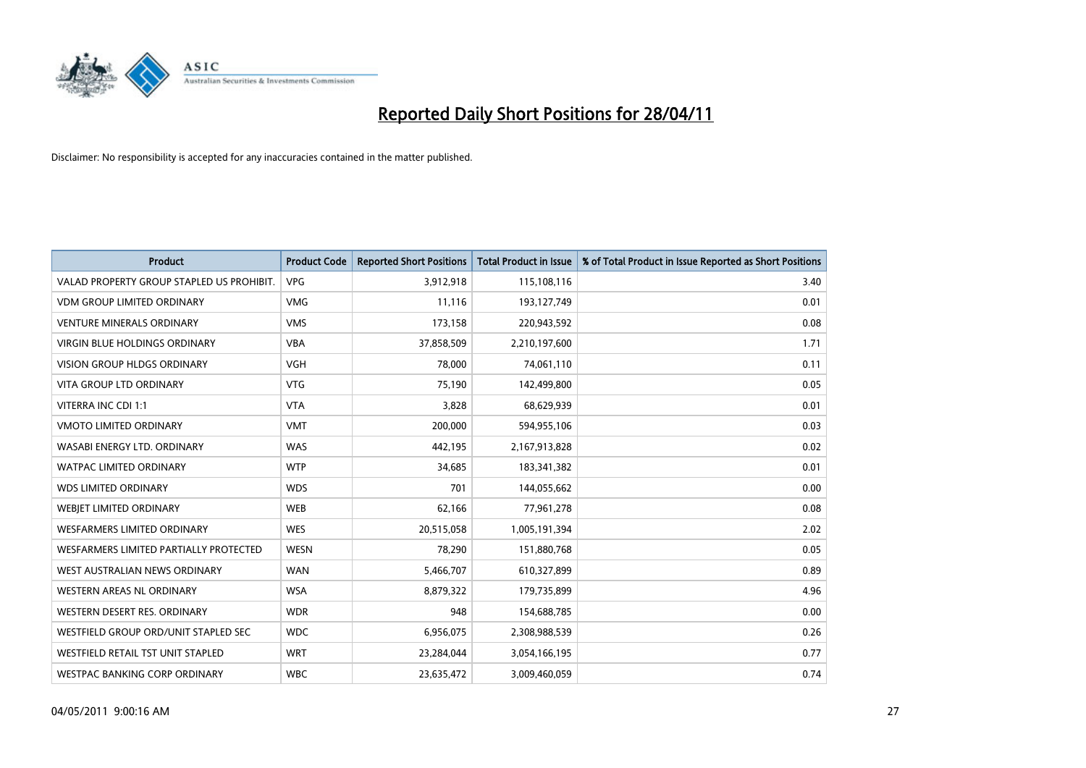

| <b>Product</b>                            | <b>Product Code</b> | <b>Reported Short Positions</b> | <b>Total Product in Issue</b> | % of Total Product in Issue Reported as Short Positions |
|-------------------------------------------|---------------------|---------------------------------|-------------------------------|---------------------------------------------------------|
| VALAD PROPERTY GROUP STAPLED US PROHIBIT. | <b>VPG</b>          | 3,912,918                       | 115,108,116                   | 3.40                                                    |
| <b>VDM GROUP LIMITED ORDINARY</b>         | <b>VMG</b>          | 11.116                          | 193,127,749                   | 0.01                                                    |
| <b>VENTURE MINERALS ORDINARY</b>          | <b>VMS</b>          | 173,158                         | 220,943,592                   | 0.08                                                    |
| VIRGIN BLUE HOLDINGS ORDINARY             | <b>VBA</b>          | 37,858,509                      | 2,210,197,600                 | 1.71                                                    |
| <b>VISION GROUP HLDGS ORDINARY</b>        | <b>VGH</b>          | 78.000                          | 74,061,110                    | 0.11                                                    |
| VITA GROUP LTD ORDINARY                   | <b>VTG</b>          | 75,190                          | 142,499,800                   | 0.05                                                    |
| VITERRA INC CDI 1:1                       | <b>VTA</b>          | 3.828                           | 68,629,939                    | 0.01                                                    |
| <b>VMOTO LIMITED ORDINARY</b>             | <b>VMT</b>          | 200,000                         | 594,955,106                   | 0.03                                                    |
| WASABI ENERGY LTD. ORDINARY               | <b>WAS</b>          | 442,195                         | 2,167,913,828                 | 0.02                                                    |
| <b>WATPAC LIMITED ORDINARY</b>            | <b>WTP</b>          | 34,685                          | 183,341,382                   | 0.01                                                    |
| <b>WDS LIMITED ORDINARY</b>               | <b>WDS</b>          | 701                             | 144,055,662                   | 0.00                                                    |
| WEBJET LIMITED ORDINARY                   | <b>WEB</b>          | 62,166                          | 77,961,278                    | 0.08                                                    |
| <b>WESFARMERS LIMITED ORDINARY</b>        | <b>WES</b>          | 20,515,058                      | 1,005,191,394                 | 2.02                                                    |
| WESFARMERS LIMITED PARTIALLY PROTECTED    | <b>WESN</b>         | 78,290                          | 151,880,768                   | 0.05                                                    |
| WEST AUSTRALIAN NEWS ORDINARY             | <b>WAN</b>          | 5,466,707                       | 610,327,899                   | 0.89                                                    |
| <b>WESTERN AREAS NL ORDINARY</b>          | <b>WSA</b>          | 8,879,322                       | 179,735,899                   | 4.96                                                    |
| WESTERN DESERT RES. ORDINARY              | <b>WDR</b>          | 948                             | 154,688,785                   | 0.00                                                    |
| WESTFIELD GROUP ORD/UNIT STAPLED SEC      | <b>WDC</b>          | 6,956,075                       | 2,308,988,539                 | 0.26                                                    |
| <b>WESTFIELD RETAIL TST UNIT STAPLED</b>  | <b>WRT</b>          | 23,284,044                      | 3,054,166,195                 | 0.77                                                    |
| WESTPAC BANKING CORP ORDINARY             | <b>WBC</b>          | 23,635,472                      | 3,009,460,059                 | 0.74                                                    |